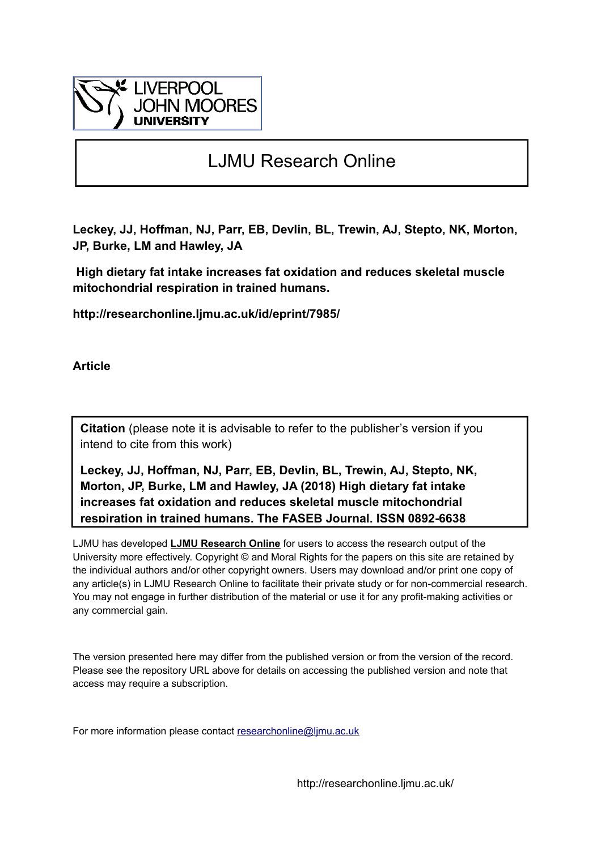

# LJMU Research Online

**Leckey, JJ, Hoffman, NJ, Parr, EB, Devlin, BL, Trewin, AJ, Stepto, NK, Morton, JP, Burke, LM and Hawley, JA**

 **High dietary fat intake increases fat oxidation and reduces skeletal muscle mitochondrial respiration in trained humans.**

**http://researchonline.ljmu.ac.uk/id/eprint/7985/**

**Article**

**Citation** (please note it is advisable to refer to the publisher's version if you intend to cite from this work)

**Leckey, JJ, Hoffman, NJ, Parr, EB, Devlin, BL, Trewin, AJ, Stepto, NK, Morton, JP, Burke, LM and Hawley, JA (2018) High dietary fat intake increases fat oxidation and reduces skeletal muscle mitochondrial respiration in trained humans. The FASEB Journal. ISSN 0892-6638** 

LJMU has developed **[LJMU Research Online](http://researchonline.ljmu.ac.uk/)** for users to access the research output of the University more effectively. Copyright © and Moral Rights for the papers on this site are retained by the individual authors and/or other copyright owners. Users may download and/or print one copy of any article(s) in LJMU Research Online to facilitate their private study or for non-commercial research. You may not engage in further distribution of the material or use it for any profit-making activities or any commercial gain.

The version presented here may differ from the published version or from the version of the record. Please see the repository URL above for details on accessing the published version and note that access may require a subscription.

For more information please contact researchonline@limu.ac.uk

http://researchonline.ljmu.ac.uk/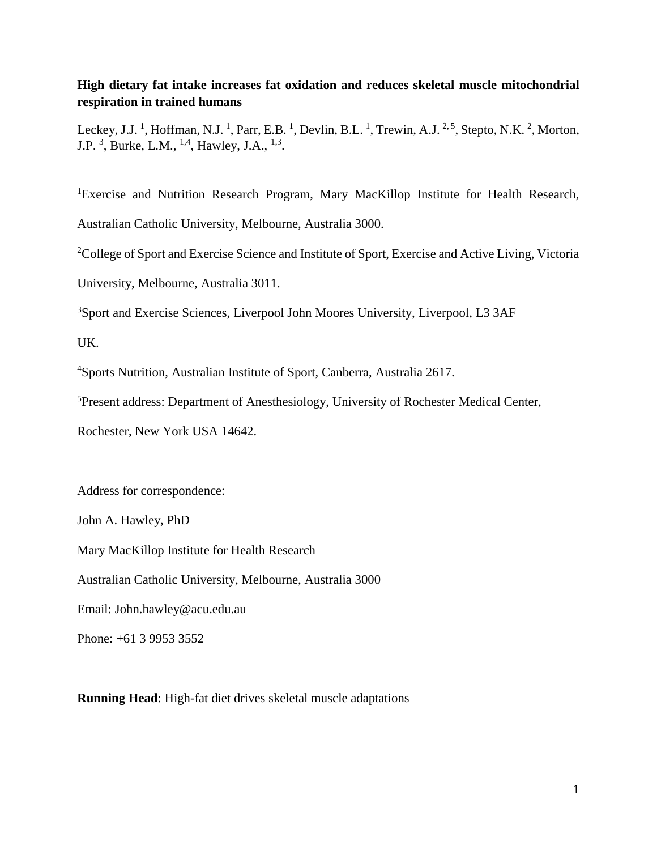# **High dietary fat intake increases fat oxidation and reduces skeletal muscle mitochondrial respiration in trained humans**

Leckey, J.J.<sup>1</sup>, Hoffman, N.J.<sup>1</sup>, Parr, E.B.<sup>1</sup>, Devlin, B.L.<sup>1</sup>, Trewin, A.J.<sup>2,5</sup>, Stepto, N.K.<sup>2</sup>, Morton, J.P.<sup>3</sup>, Burke, L.M., <sup>1,4</sup>, Hawley, J.A., <sup>1,3</sup>.

<sup>1</sup>Exercise and Nutrition Research Program, Mary MacKillop Institute for Health Research, Australian Catholic University, Melbourne, Australia 3000.

<sup>2</sup>College of Sport and Exercise Science and Institute of Sport, Exercise and Active Living, Victoria

University, Melbourne, Australia 3011.

<sup>3</sup>Sport and Exercise Sciences, Liverpool John Moores University, Liverpool, L3 3AF

UK.

<sup>4</sup>Sports Nutrition, Australian Institute of Sport, Canberra, Australia 2617.

<sup>5</sup>Present address: Department of Anesthesiology, University of Rochester Medical Center,

Rochester, New York USA 14642.

Address for correspondence:

John A. Hawley, PhD

Mary MacKillop Institute for Health Research

Australian Catholic University, Melbourne, Australia 3000

Email: [John.hawley@acu.edu.au](mailto:John.hawley@acu.edu.au)

Phone: +61 3 9953 3552

**Running Head**: High-fat diet drives skeletal muscle adaptations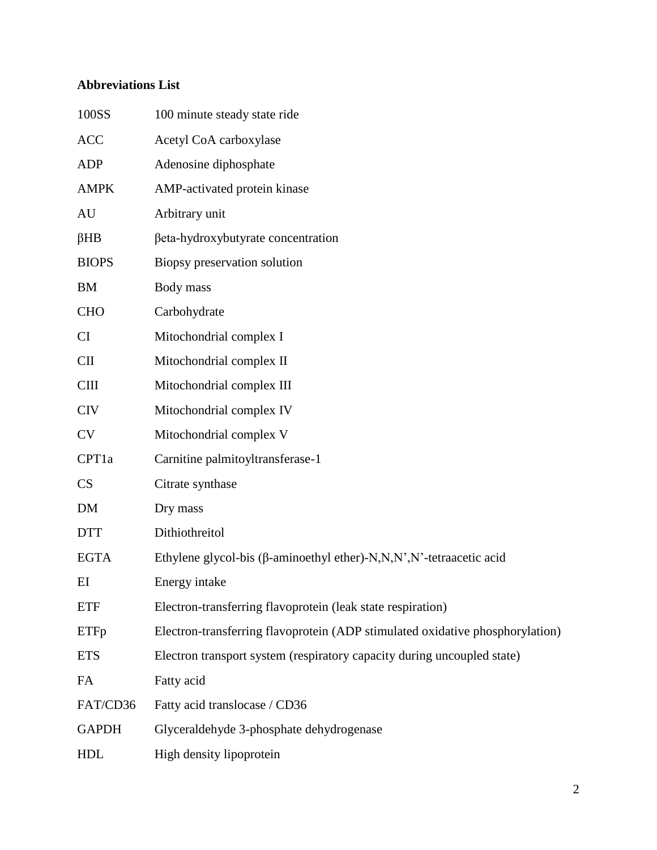# **Abbreviations List**

| 100SS        | 100 minute steady state ride                                                  |
|--------------|-------------------------------------------------------------------------------|
| <b>ACC</b>   | Acetyl CoA carboxylase                                                        |
| <b>ADP</b>   | Adenosine diphosphate                                                         |
| <b>AMPK</b>  | AMP-activated protein kinase                                                  |
| AU           | Arbitrary unit                                                                |
| $\beta$ HB   | βeta-hydroxybutyrate concentration                                            |
| <b>BIOPS</b> | Biopsy preservation solution                                                  |
| BM           | Body mass                                                                     |
| <b>CHO</b>   | Carbohydrate                                                                  |
| CI           | Mitochondrial complex I                                                       |
| $CI$         | Mitochondrial complex II                                                      |
| <b>CIII</b>  | Mitochondrial complex III                                                     |
| <b>CIV</b>   | Mitochondrial complex IV                                                      |
| <b>CV</b>    | Mitochondrial complex V                                                       |
| CPT1a        | Carnitine palmitoyltransferase-1                                              |
| <b>CS</b>    | Citrate synthase                                                              |
| DM           | Dry mass                                                                      |
| <b>DTT</b>   | Dithiothreitol                                                                |
| <b>EGTA</b>  | Ethylene glycol-bis ( $\beta$ -aminoethyl ether)-N,N,N',N'-tetraacetic acid   |
| EI           | Energy intake                                                                 |
| <b>ETF</b>   | Electron-transferring flavoprotein (leak state respiration)                   |
| <b>ETFp</b>  | Electron-transferring flavoprotein (ADP stimulated oxidative phosphorylation) |
| <b>ETS</b>   | Electron transport system (respiratory capacity during uncoupled state)       |
| FA           | Fatty acid                                                                    |
| FAT/CD36     | Fatty acid translocase / CD36                                                 |
| <b>GAPDH</b> | Glyceraldehyde 3-phosphate dehydrogenase                                      |
| <b>HDL</b>   | High density lipoprotein                                                      |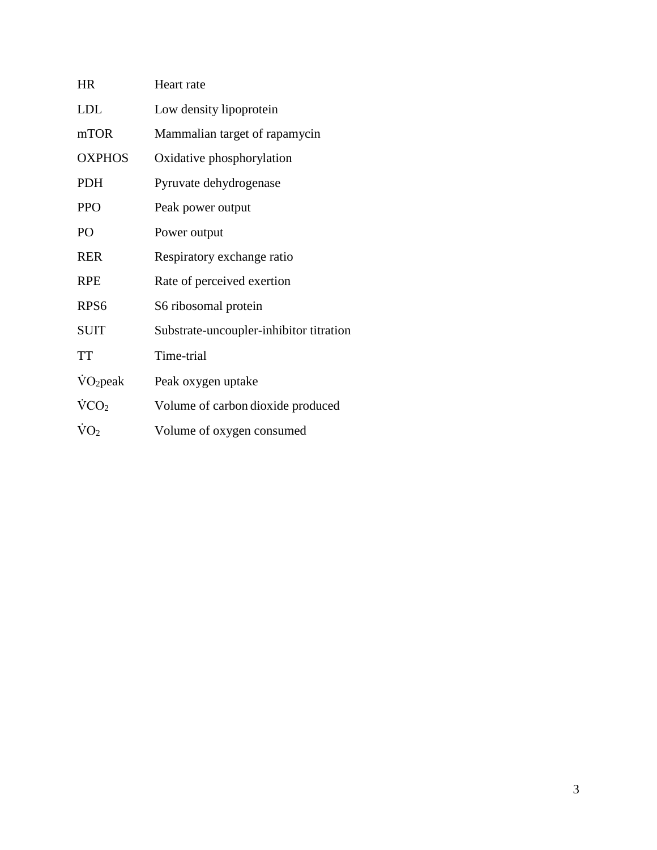| <b>HR</b>             | Heart rate                              |
|-----------------------|-----------------------------------------|
| <b>LDL</b>            | Low density lipoprotein                 |
| mTOR                  | Mammalian target of rapamycin           |
| <b>OXPHOS</b>         | Oxidative phosphorylation               |
| <b>PDH</b>            | Pyruvate dehydrogenase                  |
| <b>PPO</b>            | Peak power output                       |
| PO                    | Power output                            |
| <b>RER</b>            | Respiratory exchange ratio              |
| <b>RPE</b>            | Rate of perceived exertion              |
| RPS <sub>6</sub>      | S6 ribosomal protein                    |
| <b>SUIT</b>           | Substrate-uncoupler-inhibitor titration |
| <b>TT</b>             | Time-trial                              |
| $\rm \dot{V}O_2$ peak | Peak oxygen uptake                      |
| $\rm VCO_2$           | Volume of carbon dioxide produced       |
| $\rm \dot{V}O_2$      | Volume of oxygen consumed               |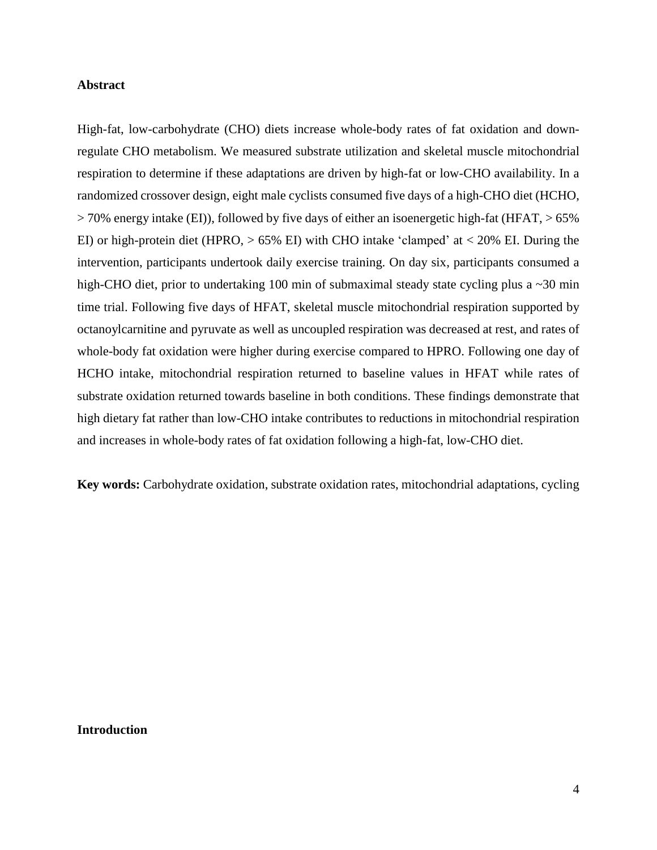# **Abstract**

High-fat, low-carbohydrate (CHO) diets increase whole-body rates of fat oxidation and downregulate CHO metabolism. We measured substrate utilization and skeletal muscle mitochondrial respiration to determine if these adaptations are driven by high-fat or low-CHO availability. In a randomized crossover design, eight male cyclists consumed five days of a high-CHO diet (HCHO, > 70% energy intake (EI)), followed by five days of either an isoenergetic high-fat (HFAT, > 65% EI) or high-protein diet (HPRO,  $> 65\%$  EI) with CHO intake 'clamped' at  $< 20\%$  EI. During the intervention, participants undertook daily exercise training. On day six, participants consumed a high-CHO diet, prior to undertaking 100 min of submaximal steady state cycling plus a ~30 min time trial. Following five days of HFAT, skeletal muscle mitochondrial respiration supported by octanoylcarnitine and pyruvate as well as uncoupled respiration was decreased at rest, and rates of whole-body fat oxidation were higher during exercise compared to HPRO. Following one day of HCHO intake, mitochondrial respiration returned to baseline values in HFAT while rates of substrate oxidation returned towards baseline in both conditions. These findings demonstrate that high dietary fat rather than low-CHO intake contributes to reductions in mitochondrial respiration and increases in whole-body rates of fat oxidation following a high-fat, low-CHO diet.

**Key words:** Carbohydrate oxidation, substrate oxidation rates, mitochondrial adaptations, cycling

# **Introduction**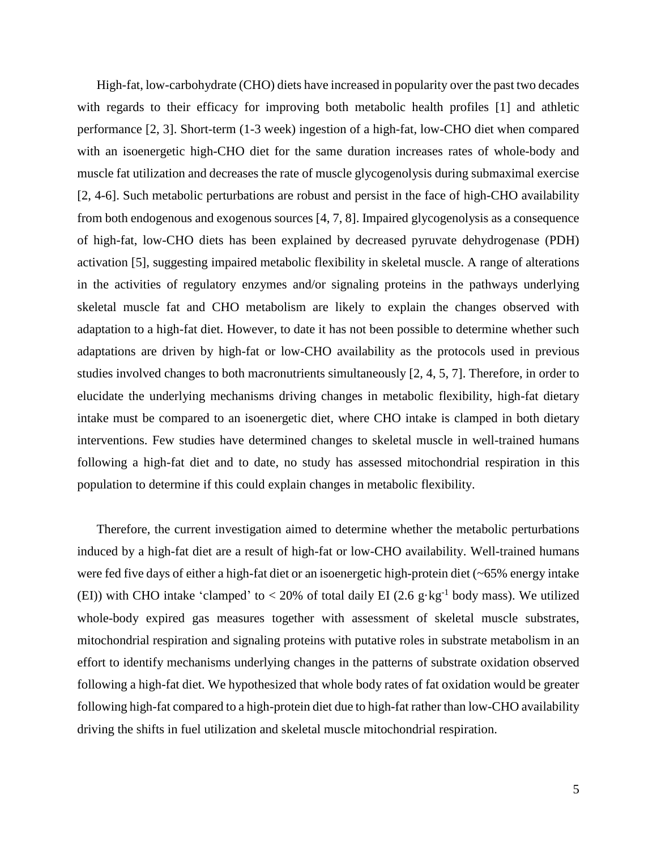High-fat, low-carbohydrate (CHO) diets have increased in popularity over the past two decades with regards to their efficacy for improving both metabolic health profiles [1] and athletic performance [2, 3]. Short-term (1-3 week) ingestion of a high-fat, low-CHO diet when compared with an isoenergetic high-CHO diet for the same duration increases rates of whole-body and muscle fat utilization and decreases the rate of muscle glycogenolysis during submaximal exercise [2, 4-6]. Such metabolic perturbations are robust and persist in the face of high-CHO availability from both endogenous and exogenous sources [4, 7, 8]. Impaired glycogenolysis as a consequence of high-fat, low-CHO diets has been explained by decreased pyruvate dehydrogenase (PDH) activation [5], suggesting impaired metabolic flexibility in skeletal muscle. A range of alterations in the activities of regulatory enzymes and/or signaling proteins in the pathways underlying skeletal muscle fat and CHO metabolism are likely to explain the changes observed with adaptation to a high-fat diet. However, to date it has not been possible to determine whether such adaptations are driven by high-fat or low-CHO availability as the protocols used in previous studies involved changes to both macronutrients simultaneously [2, 4, 5, 7]. Therefore, in order to elucidate the underlying mechanisms driving changes in metabolic flexibility, high-fat dietary intake must be compared to an isoenergetic diet, where CHO intake is clamped in both dietary interventions. Few studies have determined changes to skeletal muscle in well-trained humans following a high-fat diet and to date, no study has assessed mitochondrial respiration in this population to determine if this could explain changes in metabolic flexibility.

Therefore, the current investigation aimed to determine whether the metabolic perturbations induced by a high-fat diet are a result of high-fat or low-CHO availability. Well-trained humans were fed five days of either a high-fat diet or an isoenergetic high-protein diet (~65% energy intake (EI)) with CHO intake 'clamped' to  $<$  20% of total daily EI (2.6 g·kg<sup>-1</sup> body mass). We utilized whole-body expired gas measures together with assessment of skeletal muscle substrates, mitochondrial respiration and signaling proteins with putative roles in substrate metabolism in an effort to identify mechanisms underlying changes in the patterns of substrate oxidation observed following a high-fat diet. We hypothesized that whole body rates of fat oxidation would be greater following high-fat compared to a high-protein diet due to high-fat rather than low-CHO availability driving the shifts in fuel utilization and skeletal muscle mitochondrial respiration.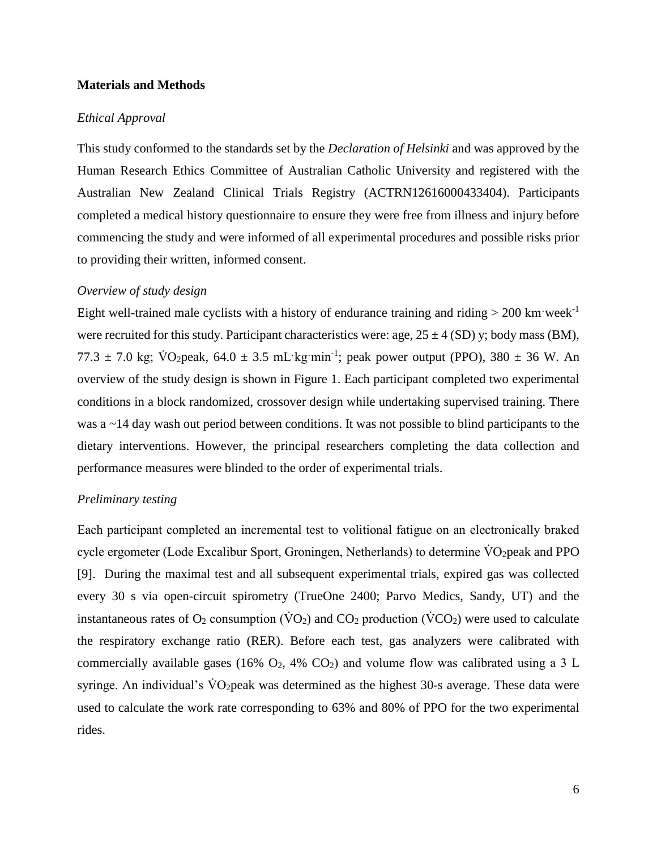# **Materials and Methods**

#### *Ethical Approval*

This study conformed to the standards set by the *Declaration of Helsinki* and was approved by the Human Research Ethics Committee of Australian Catholic University and registered with the Australian New Zealand Clinical Trials Registry (ACTRN12616000433404). Participants completed a medical history questionnaire to ensure they were free from illness and injury before commencing the study and were informed of all experimental procedures and possible risks prior to providing their written, informed consent.

#### *Overview of study design*

Eight well-trained male cyclists with a history of endurance training and riding  $> 200$  km week<sup>-1</sup> were recruited for this study. Participant characteristics were: age,  $25 \pm 4$  (SD) y; body mass (BM), 77.3  $\pm$  7.0 kg; VO<sub>2</sub>peak, 64.0  $\pm$  3.5 mL kg·min<sup>-1</sup>; peak power output (PPO), 380  $\pm$  36 W. An overview of the study design is shown in Figure 1. Each participant completed two experimental conditions in a block randomized, crossover design while undertaking supervised training. There was a  $\sim$ 14 day wash out period between conditions. It was not possible to blind participants to the dietary interventions. However, the principal researchers completing the data collection and performance measures were blinded to the order of experimental trials.

#### *Preliminary testing*

Each participant completed an incremental test to volitional fatigue on an electronically braked cycle ergometer (Lode Excalibur Sport, Groningen, Netherlands) to determine  $\rm\ddot{V}O_2$  peak and PPO [9]. During the maximal test and all subsequent experimental trials, expired gas was collected every 30 s via open-circuit spirometry (TrueOne 2400; Parvo Medics, Sandy, UT) and the instantaneous rates of  $O_2$  consumption ( $\rm\dot{VO}_2$ ) and  $\rm\dot{CO}_2$  production ( $\rm\dot{V}CO_2$ ) were used to calculate the respiratory exchange ratio (RER). Before each test, gas analyzers were calibrated with commercially available gases (16%  $O_2$ , 4%  $CO_2$ ) and volume flow was calibrated using a 3 L syringe. An individual's  $\dot{V}O_2$  peak was determined as the highest 30-s average. These data were used to calculate the work rate corresponding to 63% and 80% of PPO for the two experimental rides.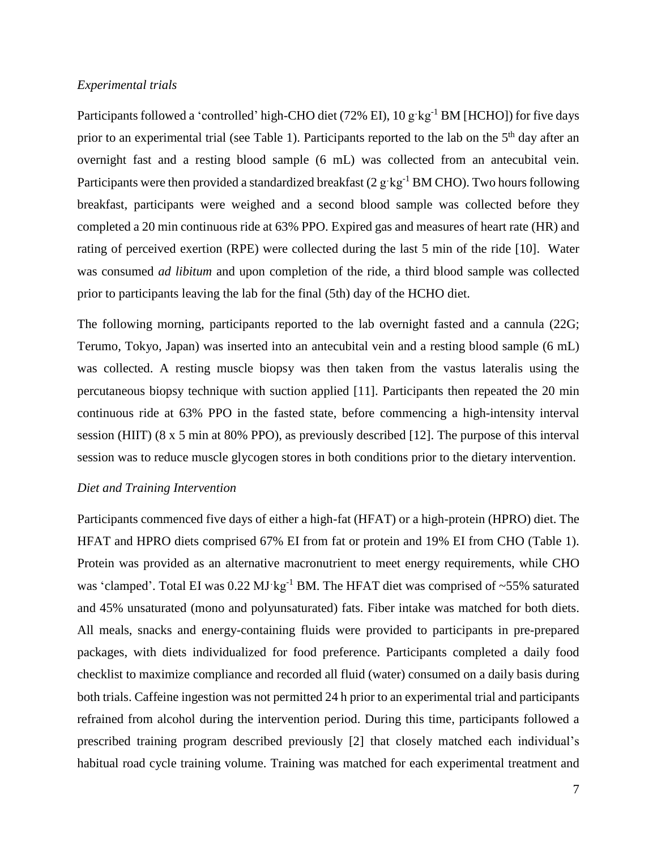# *Experimental trials*

Participants followed a 'controlled' high-CHO diet (72% EI),  $10 \text{ g} \cdot \text{kg}^{-1}$  BM [HCHO]) for five days prior to an experimental trial (see Table 1). Participants reported to the lab on the 5<sup>th</sup> day after an overnight fast and a resting blood sample (6 mL) was collected from an antecubital vein. Participants were then provided a standardized breakfast  $(2 g \cdot kg^{-1} BM CHO)$ . Two hours following breakfast, participants were weighed and a second blood sample was collected before they completed a 20 min continuous ride at 63% PPO. Expired gas and measures of heart rate (HR) and rating of perceived exertion (RPE) were collected during the last 5 min of the ride [10]. Water was consumed *ad libitum* and upon completion of the ride, a third blood sample was collected prior to participants leaving the lab for the final (5th) day of the HCHO diet.

The following morning, participants reported to the lab overnight fasted and a cannula (22G; Terumo, Tokyo, Japan) was inserted into an antecubital vein and a resting blood sample (6 mL) was collected. A resting muscle biopsy was then taken from the vastus lateralis using the percutaneous biopsy technique with suction applied [11]. Participants then repeated the 20 min continuous ride at 63% PPO in the fasted state, before commencing a high-intensity interval session (HIIT) (8 x 5 min at 80% PPO), as previously described [12]. The purpose of this interval session was to reduce muscle glycogen stores in both conditions prior to the dietary intervention.

# *Diet and Training Intervention*

Participants commenced five days of either a high-fat (HFAT) or a high-protein (HPRO) diet. The HFAT and HPRO diets comprised 67% EI from fat or protein and 19% EI from CHO (Table 1). Protein was provided as an alternative macronutrient to meet energy requirements, while CHO was 'clamped'. Total EI was  $0.22 \text{ MJ} \cdot \text{kg}^{-1}$  BM. The HFAT diet was comprised of  $\sim 55\%$  saturated and 45% unsaturated (mono and polyunsaturated) fats. Fiber intake was matched for both diets. All meals, snacks and energy-containing fluids were provided to participants in pre-prepared packages, with diets individualized for food preference. Participants completed a daily food checklist to maximize compliance and recorded all fluid (water) consumed on a daily basis during both trials. Caffeine ingestion was not permitted 24 h prior to an experimental trial and participants refrained from alcohol during the intervention period. During this time, participants followed a prescribed training program described previously [2] that closely matched each individual's habitual road cycle training volume. Training was matched for each experimental treatment and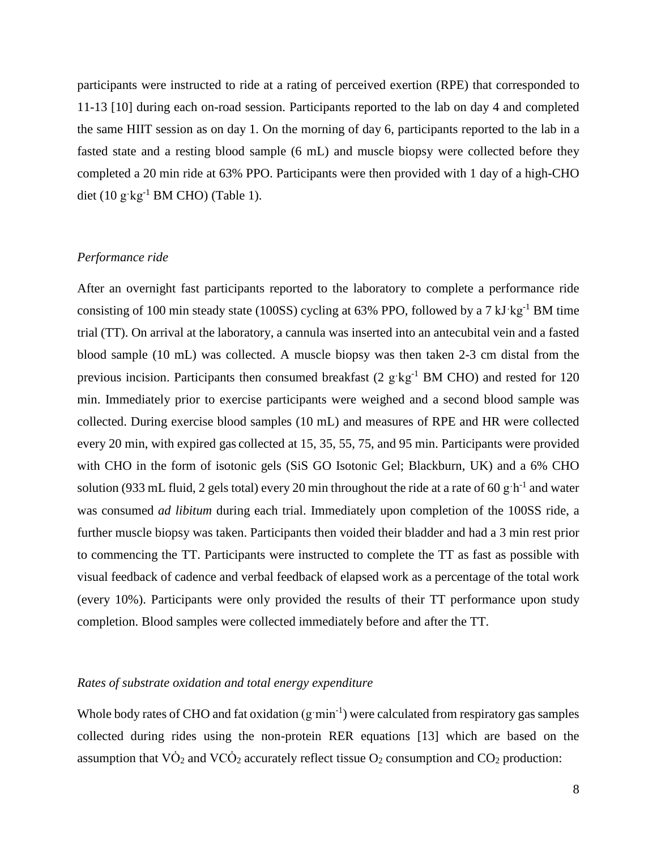participants were instructed to ride at a rating of perceived exertion (RPE) that corresponded to 11-13 [10] during each on-road session. Participants reported to the lab on day 4 and completed the same HIIT session as on day 1. On the morning of day 6, participants reported to the lab in a fasted state and a resting blood sample (6 mL) and muscle biopsy were collected before they completed a 20 min ride at 63% PPO. Participants were then provided with 1 day of a high-CHO diet (10 g $kg^{-1}$  BM CHO) (Table 1).

### *Performance ride*

After an overnight fast participants reported to the laboratory to complete a performance ride consisting of 100 min steady state (100SS) cycling at 63% PPO, followed by a 7 kJ $kg^{-1}$  BM time trial (TT). On arrival at the laboratory, a cannula was inserted into an antecubital vein and a fasted blood sample (10 mL) was collected. A muscle biopsy was then taken 2-3 cm distal from the previous incision. Participants then consumed breakfast  $(2 \text{ g/kg}^{-1} \text{ BM CHO})$  and rested for 120 min. Immediately prior to exercise participants were weighed and a second blood sample was collected. During exercise blood samples (10 mL) and measures of RPE and HR were collected every 20 min, with expired gas collected at 15, 35, 55, 75, and 95 min. Participants were provided with CHO in the form of isotonic gels (SiS GO Isotonic Gel; Blackburn, UK) and a 6% CHO solution (933 mL fluid, 2 gels total) every 20 min throughout the ride at a rate of 60 g $h^{-1}$  and water was consumed *ad libitum* during each trial. Immediately upon completion of the 100SS ride, a further muscle biopsy was taken. Participants then voided their bladder and had a 3 min rest prior to commencing the TT. Participants were instructed to complete the TT as fast as possible with visual feedback of cadence and verbal feedback of elapsed work as a percentage of the total work (every 10%). Participants were only provided the results of their TT performance upon study completion. Blood samples were collected immediately before and after the TT.

# *Rates of substrate oxidation and total energy expenditure*

Whole body rates of CHO and fat oxidation  $(g \cdot \text{min}^{-1})$  were calculated from respiratory gas samples collected during rides using the non-protein RER equations [13] which are based on the assumption that  $\overline{VO}_2$  and  $\overline{VCO}_2$  accurately reflect tissue  $O_2$  consumption and  $CO_2$  production: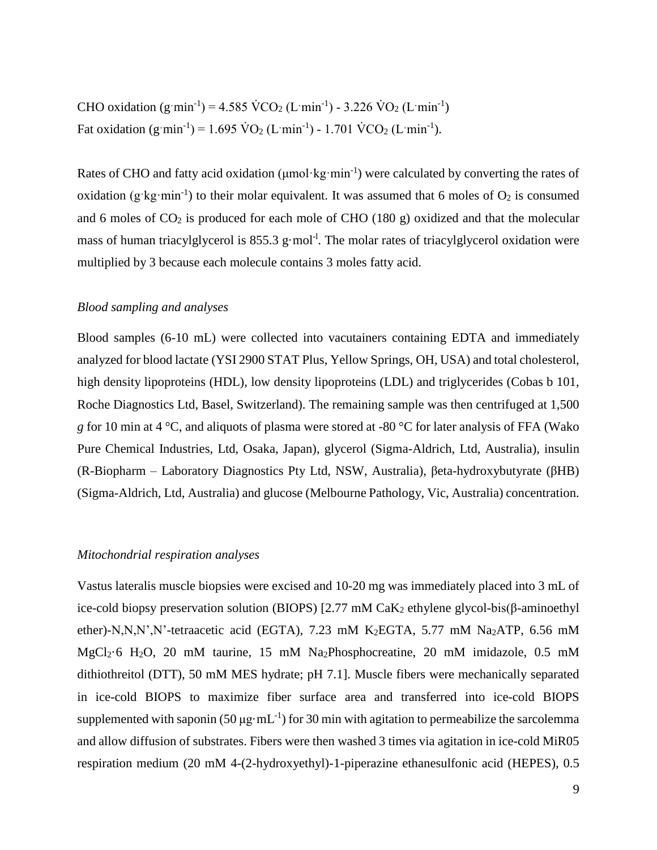CHO oxidation  $(g \text{ min}^{-1}) = 4.585 \text{ VCO}_2 (L \text{ min}^{-1}) - 3.226 \text{ VO}_2 (L \text{ min}^{-1})$ Fat oxidation  $(g \text{ min}^{-1}) = 1.695 \text{ VO}_2 (L \text{ min}^{-1}) - 1.701 \text{ VCO}_2 (L \text{ min}^{-1}).$ 

Rates of CHO and fatty acid oxidation (umol·kg·min<sup>-1</sup>) were calculated by converting the rates of oxidation (g·kg·min<sup>-1</sup>) to their molar equivalent. It was assumed that 6 moles of  $O_2$  is consumed and 6 moles of  $CO<sub>2</sub>$  is produced for each mole of CHO (180 g) oxidized and that the molecular mass of human triacylglycerol is 855.3 g·mol<sup>-1</sup>. The molar rates of triacylglycerol oxidation were multiplied by 3 because each molecule contains 3 moles fatty acid.

# *Blood sampling and analyses*

Blood samples (6-10 mL) were collected into vacutainers containing EDTA and immediately analyzed for blood lactate (YSI 2900 STAT Plus, Yellow Springs, OH, USA) and total cholesterol, high density lipoproteins (HDL), low density lipoproteins (LDL) and triglycerides (Cobas b 101, Roche Diagnostics Ltd, Basel, Switzerland). The remaining sample was then centrifuged at 1,500 *g* for 10 min at 4 °C, and aliquots of plasma were stored at -80 °C for later analysis of FFA (Wako Pure Chemical Industries, Ltd, Osaka, Japan), glycerol (Sigma-Aldrich, Ltd, Australia), insulin (R-Biopharm – Laboratory Diagnostics Pty Ltd, NSW, Australia), βeta-hydroxybutyrate (βHB) (Sigma-Aldrich, Ltd, Australia) and glucose (Melbourne Pathology, Vic, Australia) concentration.

### *Mitochondrial respiration analyses*

Vastus lateralis muscle biopsies were excised and 10-20 mg was immediately placed into 3 mL of ice-cold biopsy preservation solution (BIOPS) [2.77 mM CaK<sup>2</sup> ethylene glycol-bis(β-aminoethyl ether)-N,N,N',N'-tetraacetic acid (EGTA), 7.23 mM K<sub>2</sub>EGTA, 5.77 mM Na<sub>2</sub>ATP, 6.56 mM MgCl2·6 H2O, 20 mM taurine, 15 mM Na2Phosphocreatine, 20 mM imidazole, 0.5 mM dithiothreitol (DTT), 50 mM MES hydrate; pH 7.1]. Muscle fibers were mechanically separated in ice-cold BIOPS to maximize fiber surface area and transferred into ice-cold BIOPS supplemented with saponin (50  $\mu$ g·mL<sup>-1</sup>) for 30 min with agitation to permeabilize the sarcolemma and allow diffusion of substrates. Fibers were then washed 3 times via agitation in ice-cold MiR05 respiration medium (20 mM 4-(2-hydroxyethyl)-1-piperazine ethanesulfonic acid (HEPES), 0.5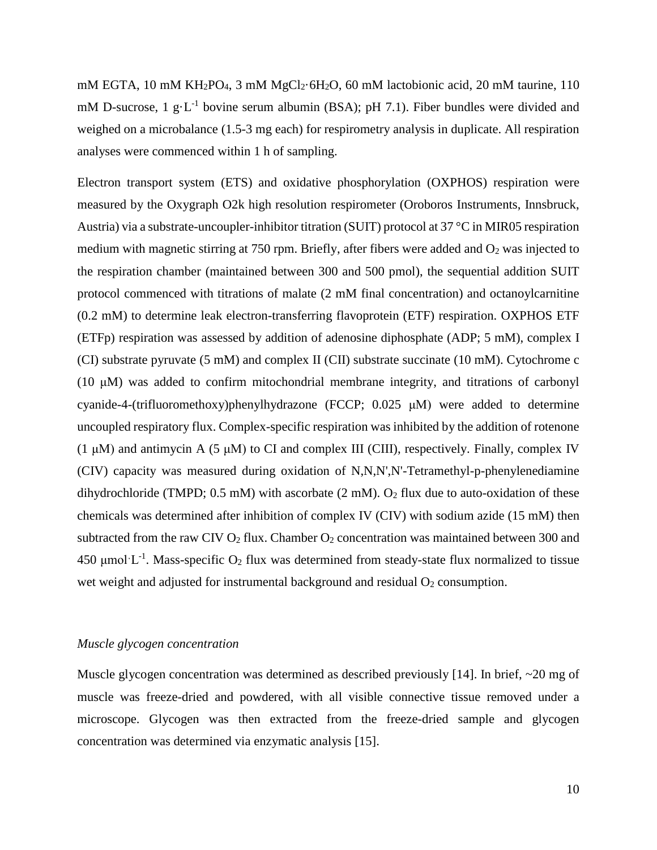mM EGTA, 10 mM KH<sub>2</sub>PO<sub>4</sub>, 3 mM MgCl<sub>2</sub>·6H<sub>2</sub>O, 60 mM lactobionic acid, 20 mM taurine, 110 mM D-sucrose, 1  $g \cdot L^{-1}$  bovine serum albumin (BSA); pH 7.1). Fiber bundles were divided and weighed on a microbalance (1.5-3 mg each) for respirometry analysis in duplicate. All respiration analyses were commenced within 1 h of sampling.

Electron transport system (ETS) and oxidative phosphorylation (OXPHOS) respiration were measured by the Oxygraph O2k high resolution respirometer (Oroboros Instruments, Innsbruck, Austria) via a substrate-uncoupler-inhibitor titration (SUIT) protocol at 37 °C in MIR05 respiration medium with magnetic stirring at 750 rpm. Briefly, after fibers were added and  $O<sub>2</sub>$  was injected to the respiration chamber (maintained between 300 and 500 pmol), the sequential addition SUIT protocol commenced with titrations of malate (2 mM final concentration) and octanoylcarnitine (0.2 mM) to determine leak electron-transferring flavoprotein (ETF) respiration. OXPHOS ETF (ETFp) respiration was assessed by addition of adenosine diphosphate (ADP; 5 mM), complex I (CI) substrate pyruvate (5 mM) and complex II (CII) substrate succinate (10 mM). Cytochrome c (10 μM) was added to confirm mitochondrial membrane integrity, and titrations of carbonyl cyanide-4-(trifluoromethoxy)phenylhydrazone (FCCP; 0.025 μM) were added to determine uncoupled respiratory flux. Complex-specific respiration was inhibited by the addition of rotenone (1 μM) and antimycin A (5 μM) to CI and complex III (CIII), respectively. Finally, complex IV (CIV) capacity was measured during oxidation of N,N,N',N'-Tetramethyl-p-phenylenediamine dihydrochloride (TMPD;  $0.5$  mM) with ascorbate (2 mM).  $O_2$  flux due to auto-oxidation of these chemicals was determined after inhibition of complex IV (CIV) with sodium azide (15 mM) then subtracted from the raw CIV  $O_2$  flux. Chamber  $O_2$  concentration was maintained between 300 and 450 µmol $^{\circ}$ L<sup>-1</sup>. Mass-specific O<sub>2</sub> flux was determined from steady-state flux normalized to tissue wet weight and adjusted for instrumental background and residual  $O<sub>2</sub>$  consumption.

# *Muscle glycogen concentration*

Muscle glycogen concentration was determined as described previously [14]. In brief, ~20 mg of muscle was freeze-dried and powdered, with all visible connective tissue removed under a microscope. Glycogen was then extracted from the freeze-dried sample and glycogen concentration was determined via enzymatic analysis [15].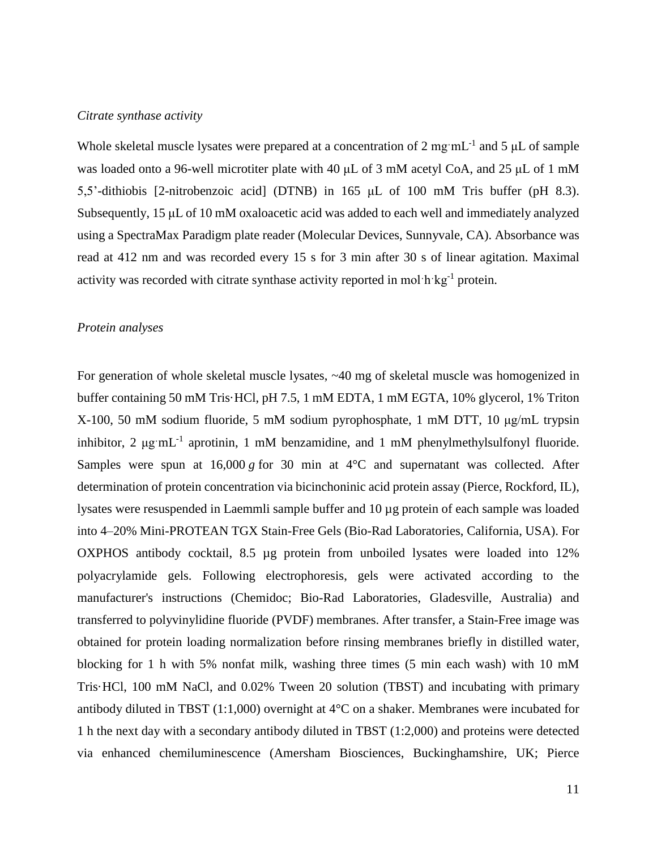#### *Citrate synthase activity*

Whole skeletal muscle lysates were prepared at a concentration of 2 mg $mL^{-1}$  and 5  $\mu$ L of sample was loaded onto a 96-well microtiter plate with 40 μL of 3 mM acetyl CoA, and 25 μL of 1 mM 5,5'-dithiobis [2-nitrobenzoic acid] (DTNB) in 165 μL of 100 mM Tris buffer (pH 8.3). Subsequently, 15 μL of 10 mM oxaloacetic acid was added to each well and immediately analyzed using a SpectraMax Paradigm plate reader (Molecular Devices, Sunnyvale, CA). Absorbance was read at 412 nm and was recorded every 15 s for 3 min after 30 s of linear agitation. Maximal activity was recorded with citrate synthase activity reported in mol·h·kg<sup>-1</sup> protein.

# *Protein analyses*

For generation of whole skeletal muscle lysates, ~40 mg of skeletal muscle was homogenized in buffer containing 50 mM Tris·HCl, pH 7.5, 1 mM EDTA, 1 mM EGTA, 10% glycerol, 1% Triton X-100, 50 mM sodium fluoride, 5 mM sodium pyrophosphate, 1 mM DTT, 10 μg/mL trypsin inhibitor, 2  $\mu$ g·mL<sup>-1</sup> aprotinin, 1 mM benzamidine, and 1 mM phenylmethylsulfonyl fluoride. Samples were spun at  $16,000 g$  for 30 min at  $4^{\circ}$ C and supernatant was collected. After determination of protein concentration via bicinchoninic acid protein assay (Pierce, Rockford, IL), lysates were resuspended in Laemmli sample buffer and 10 µg protein of each sample was loaded into 4–20% Mini-PROTEAN TGX Stain-Free Gels (Bio-Rad Laboratories, California, USA). For OXPHOS antibody cocktail, 8.5 µg protein from unboiled lysates were loaded into 12% polyacrylamide gels. Following electrophoresis, gels were activated according to the manufacturer's instructions (Chemidoc; Bio-Rad Laboratories, Gladesville, Australia) and transferred to polyvinylidine fluoride (PVDF) membranes. After transfer, a Stain-Free image was obtained for protein loading normalization before rinsing membranes briefly in distilled water, blocking for 1 h with 5% nonfat milk, washing three times (5 min each wash) with 10 mM Tris·HCl, 100 mM NaCl, and 0.02% Tween 20 solution (TBST) and incubating with primary antibody diluted in TBST  $(1:1,000)$  overnight at  $4^{\circ}$ C on a shaker. Membranes were incubated for 1 h the next day with a secondary antibody diluted in TBST (1:2,000) and proteins were detected via enhanced chemiluminescence (Amersham Biosciences, Buckinghamshire, UK; Pierce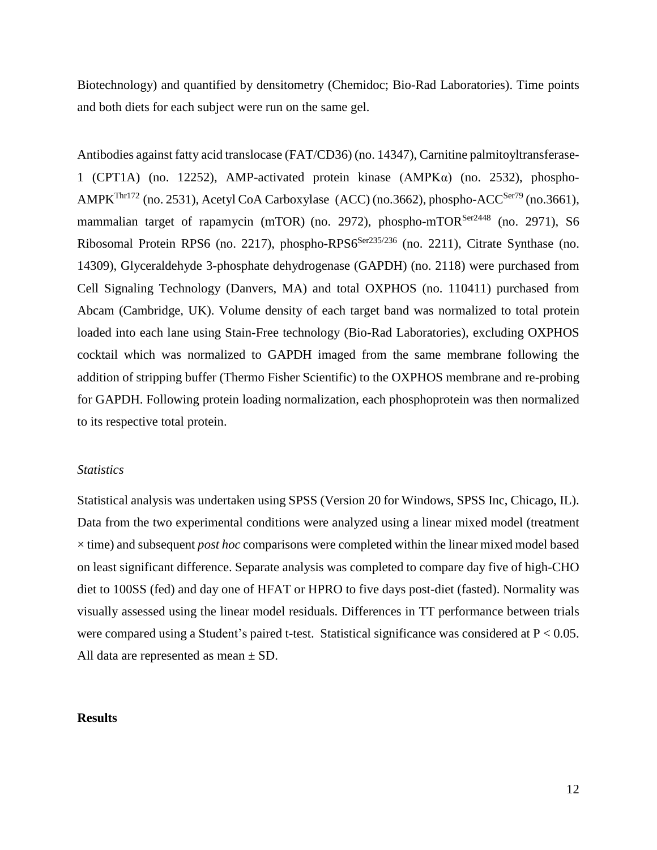Biotechnology) and quantified by densitometry (Chemidoc; Bio-Rad Laboratories). Time points and both diets for each subject were run on the same gel.

Antibodies against fatty acid translocase (FAT/CD36) (no. 14347), Carnitine palmitoyltransferase-1 (CPT1A) (no. 12252), AMP-activated protein kinase (AMPKα) (no. 2532), phospho-AMPK<sup>Thr172</sup> (no. 2531), Acetyl CoA Carboxylase (ACC) (no.3662), phospho-ACC<sup>Ser79</sup> (no.3661), mammalian target of rapamycin (mTOR) (no. 2972), phospho-mTOR<sup>Ser2448</sup> (no. 2971), S6 Ribosomal Protein RPS6 (no. 2217), phospho-RPS6<sup>Ser235/236</sup> (no. 2211), Citrate Synthase (no. 14309), Glyceraldehyde 3-phosphate dehydrogenase (GAPDH) (no. 2118) were purchased from Cell Signaling Technology (Danvers, MA) and total OXPHOS (no. 110411) purchased from Abcam (Cambridge, UK). Volume density of each target band was normalized to total protein loaded into each lane using Stain-Free technology (Bio-Rad Laboratories), excluding OXPHOS cocktail which was normalized to GAPDH imaged from the same membrane following the addition of stripping buffer (Thermo Fisher Scientific) to the OXPHOS membrane and re-probing for GAPDH. Following protein loading normalization, each phosphoprotein was then normalized to its respective total protein.

#### *Statistics*

Statistical analysis was undertaken using SPSS (Version 20 for Windows, SPSS Inc, Chicago, IL). Data from the two experimental conditions were analyzed using a linear mixed model (treatment × time) and subsequent *post hoc* comparisons were completed within the linear mixed model based on least significant difference. Separate analysis was completed to compare day five of high-CHO diet to 100SS (fed) and day one of HFAT or HPRO to five days post-diet (fasted). Normality was visually assessed using the linear model residuals. Differences in TT performance between trials were compared using a Student's paired t-test. Statistical significance was considered at P < 0.05. All data are represented as mean ± SD.

#### **Results**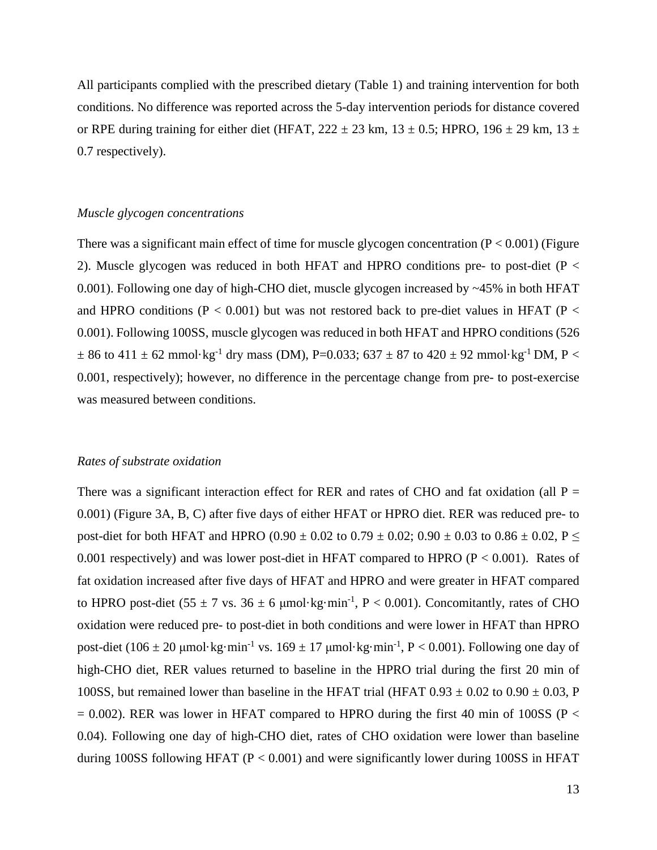All participants complied with the prescribed dietary (Table 1) and training intervention for both conditions. No difference was reported across the 5-day intervention periods for distance covered or RPE during training for either diet (HFAT,  $222 \pm 23$  km,  $13 \pm 0.5$ ; HPRO,  $196 \pm 29$  km,  $13 \pm 13$ 0.7 respectively).

#### *Muscle glycogen concentrations*

There was a significant main effect of time for muscle glycogen concentration  $(P < 0.001)$  (Figure 2). Muscle glycogen was reduced in both HFAT and HPRO conditions pre- to post-diet ( $P <$ 0.001). Following one day of high-CHO diet, muscle glycogen increased by ~45% in both HFAT and HPRO conditions ( $P < 0.001$ ) but was not restored back to pre-diet values in HFAT ( $P <$ 0.001). Following 100SS, muscle glycogen was reduced in both HFAT and HPRO conditions (526  $\pm$  86 to 411  $\pm$  62 mmol·kg<sup>-1</sup> dry mass (DM), P=0.033; 637  $\pm$  87 to 420  $\pm$  92 mmol·kg<sup>-1</sup> DM, P < 0.001, respectively); however, no difference in the percentage change from pre- to post-exercise was measured between conditions.

#### *Rates of substrate oxidation*

There was a significant interaction effect for RER and rates of CHO and fat oxidation (all  $P =$ 0.001) (Figure 3A, B, C) after five days of either HFAT or HPRO diet. RER was reduced pre- to post-diet for both HFAT and HPRO (0.90  $\pm$  0.02 to 0.79  $\pm$  0.02; 0.90  $\pm$  0.03 to 0.86  $\pm$  0.02, P  $\le$ 0.001 respectively) and was lower post-diet in HFAT compared to HPRO  $(P < 0.001)$ . Rates of fat oxidation increased after five days of HFAT and HPRO and were greater in HFAT compared to HPRO post-diet (55  $\pm$  7 vs. 36  $\pm$  6 µmol·kg·min<sup>-1</sup>, P < 0.001). Concomitantly, rates of CHO oxidation were reduced pre- to post-diet in both conditions and were lower in HFAT than HPRO post-diet (106  $\pm$  20 µmol·kg·min<sup>-1</sup> vs. 169  $\pm$  17 µmol·kg·min<sup>-1</sup>, P < 0.001). Following one day of high-CHO diet, RER values returned to baseline in the HPRO trial during the first 20 min of 100SS, but remained lower than baseline in the HFAT trial (HFAT  $0.93 \pm 0.02$  to  $0.90 \pm 0.03$ , P  $= 0.002$ ). RER was lower in HFAT compared to HPRO during the first 40 min of 100SS (P < 0.04). Following one day of high-CHO diet, rates of CHO oxidation were lower than baseline during 100SS following HFAT ( $P < 0.001$ ) and were significantly lower during 100SS in HFAT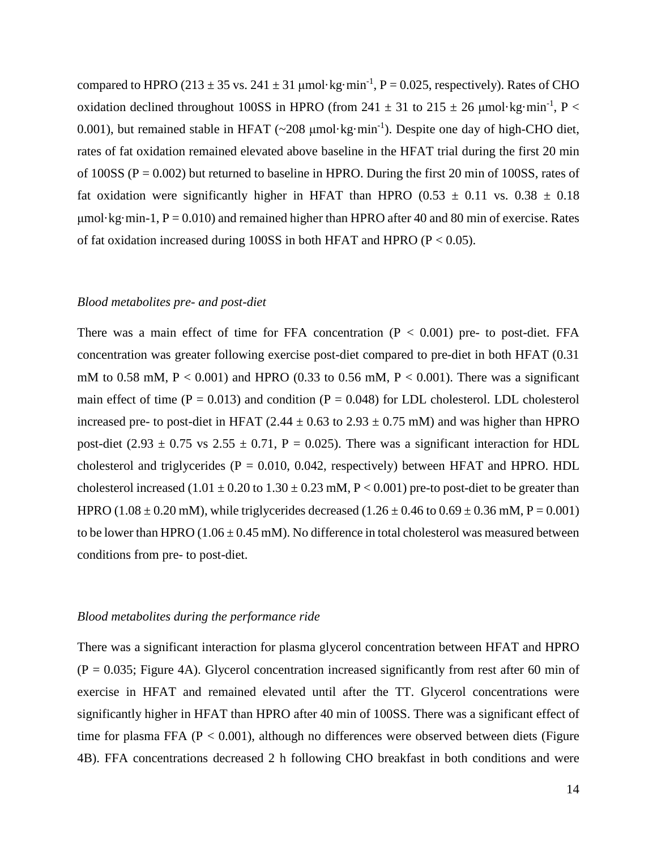compared to HPRO (213  $\pm$  35 vs. 241  $\pm$  31 µmol·kg·min<sup>-1</sup>, P = 0.025, respectively). Rates of CHO oxidation declined throughout 100SS in HPRO (from 241  $\pm$  31 to 215  $\pm$  26 µmol·kg·min<sup>-1</sup>, P < 0.001), but remained stable in HFAT ( $\sim$ 208 µmol·kg·min<sup>-1</sup>). Despite one day of high-CHO diet, rates of fat oxidation remained elevated above baseline in the HFAT trial during the first 20 min of 100SS ( $P = 0.002$ ) but returned to baseline in HPRO. During the first 20 min of 100SS, rates of fat oxidation were significantly higher in HFAT than HPRO (0.53  $\pm$  0.11 vs. 0.38  $\pm$  0.18  $\mu$ mol·kg·min-1, P = 0.010) and remained higher than HPRO after 40 and 80 min of exercise. Rates of fat oxidation increased during 100SS in both HFAT and HPRO (P < 0.05).

# *Blood metabolites pre- and post-diet*

There was a main effect of time for FFA concentration  $(P < 0.001)$  pre- to post-diet. FFA concentration was greater following exercise post-diet compared to pre-diet in both HFAT (0.31 mM to 0.58 mM,  $P < 0.001$ ) and HPRO (0.33 to 0.56 mM,  $P < 0.001$ ). There was a significant main effect of time ( $P = 0.013$ ) and condition ( $P = 0.048$ ) for LDL cholesterol. LDL cholesterol increased pre- to post-diet in HFAT (2.44  $\pm$  0.63 to 2.93  $\pm$  0.75 mM) and was higher than HPRO post-diet (2.93  $\pm$  0.75 vs 2.55  $\pm$  0.71, P = 0.025). There was a significant interaction for HDL cholesterol and triglycerides ( $P = 0.010, 0.042$ , respectively) between HFAT and HPRO. HDL cholesterol increased  $(1.01 \pm 0.20 \text{ to } 1.30 \pm 0.23 \text{ mM}, P < 0.001)$  pre-to post-diet to be greater than HPRO (1.08  $\pm$  0.20 mM), while triglycerides decreased (1.26  $\pm$  0.46 to 0.69  $\pm$  0.36 mM, P = 0.001) to be lower than HPRO (1.06  $\pm$  0.45 mM). No difference in total cholesterol was measured between conditions from pre- to post-diet.

# *Blood metabolites during the performance ride*

There was a significant interaction for plasma glycerol concentration between HFAT and HPRO  $(P = 0.035$ ; Figure 4A). Glycerol concentration increased significantly from rest after 60 min of exercise in HFAT and remained elevated until after the TT. Glycerol concentrations were significantly higher in HFAT than HPRO after 40 min of 100SS. There was a significant effect of time for plasma FFA ( $P < 0.001$ ), although no differences were observed between diets (Figure 4B). FFA concentrations decreased 2 h following CHO breakfast in both conditions and were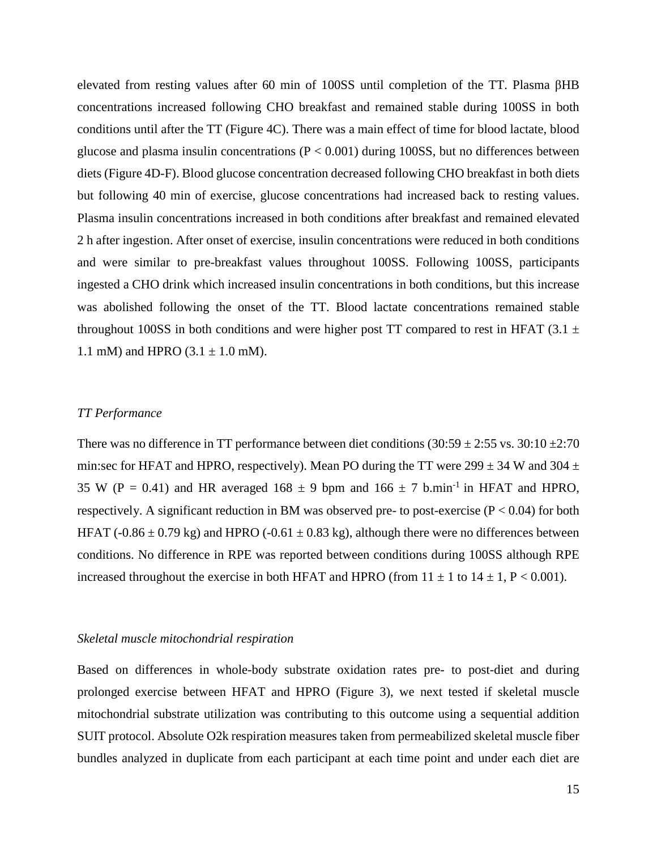elevated from resting values after 60 min of 100SS until completion of the TT. Plasma βHB concentrations increased following CHO breakfast and remained stable during 100SS in both conditions until after the TT (Figure 4C). There was a main effect of time for blood lactate, blood glucose and plasma insulin concentrations ( $P < 0.001$ ) during 100SS, but no differences between diets (Figure 4D-F). Blood glucose concentration decreased following CHO breakfast in both diets but following 40 min of exercise, glucose concentrations had increased back to resting values. Plasma insulin concentrations increased in both conditions after breakfast and remained elevated 2 h after ingestion. After onset of exercise, insulin concentrations were reduced in both conditions and were similar to pre-breakfast values throughout 100SS. Following 100SS, participants ingested a CHO drink which increased insulin concentrations in both conditions, but this increase was abolished following the onset of the TT. Blood lactate concentrations remained stable throughout 100SS in both conditions and were higher post TT compared to rest in HFAT (3.1  $\pm$ 1.1 mM) and HPRO  $(3.1 \pm 1.0 \text{ mM})$ .

# *TT Performance*

There was no difference in TT performance between diet conditions  $(30:59 \pm 2:55 \text{ vs. } 30:10 \pm 2:70 \text{ s.} 10:10 \pm 2:70 \text{ s.} 10:10 \pm 2:70 \text{ s.} 10:10 \pm 2:70 \text{ s.} 10:10 \pm 2:70 \text{ s.} 10:10 \pm 2:70 \text{ s.} 10:10 \pm 2:70 \text{ s.} 1$ min:sec for HFAT and HPRO, respectively). Mean PO during the TT were  $299 \pm 34$  W and  $304 \pm 1$ 35 W (P = 0.41) and HR averaged 168  $\pm$  9 bpm and 166  $\pm$  7 b.min<sup>-1</sup> in HFAT and HPRO, respectively. A significant reduction in BM was observed pre- to post-exercise ( $P < 0.04$ ) for both HFAT (-0.86  $\pm$  0.79 kg) and HPRO (-0.61  $\pm$  0.83 kg), although there were no differences between conditions. No difference in RPE was reported between conditions during 100SS although RPE increased throughout the exercise in both HFAT and HPRO (from  $11 \pm 1$  to  $14 \pm 1$ , P < 0.001).

# *Skeletal muscle mitochondrial respiration*

Based on differences in whole-body substrate oxidation rates pre- to post-diet and during prolonged exercise between HFAT and HPRO (Figure 3), we next tested if skeletal muscle mitochondrial substrate utilization was contributing to this outcome using a sequential addition SUIT protocol. Absolute O2k respiration measures taken from permeabilized skeletal muscle fiber bundles analyzed in duplicate from each participant at each time point and under each diet are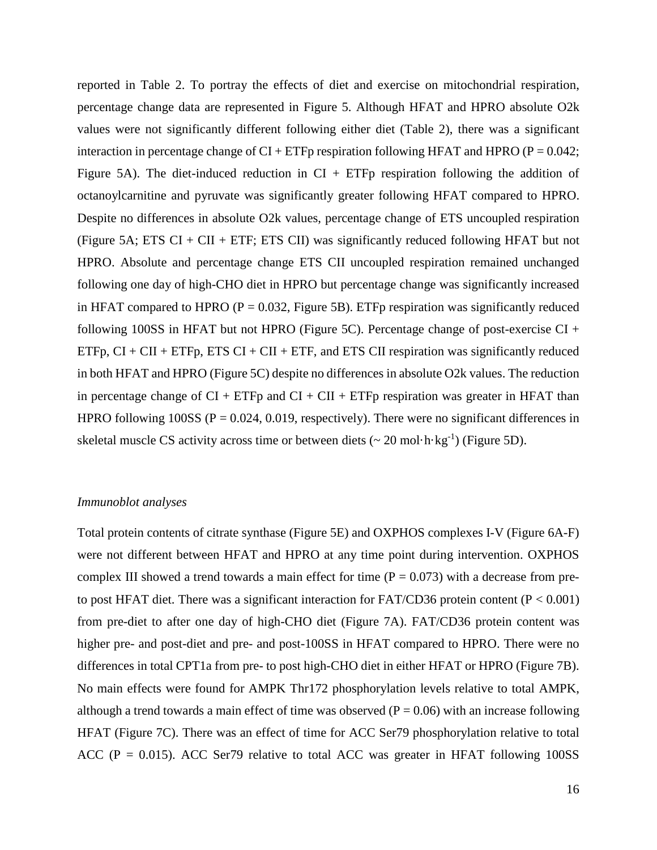reported in Table 2. To portray the effects of diet and exercise on mitochondrial respiration, percentage change data are represented in Figure 5. Although HFAT and HPRO absolute O2k values were not significantly different following either diet (Table 2), there was a significant interaction in percentage change of  $CI + ETFp$  respiration following HFAT and HPRO ( $P = 0.042$ ; Figure 5A). The diet-induced reduction in  $CI + ETFp$  respiration following the addition of octanoylcarnitine and pyruvate was significantly greater following HFAT compared to HPRO. Despite no differences in absolute O2k values, percentage change of ETS uncoupled respiration (Figure 5A; ETS CI + CII + ETF; ETS CII) was significantly reduced following HFAT but not HPRO. Absolute and percentage change ETS CII uncoupled respiration remained unchanged following one day of high-CHO diet in HPRO but percentage change was significantly increased in HFAT compared to HPRO ( $P = 0.032$ , Figure 5B). ETFp respiration was significantly reduced following 100SS in HFAT but not HPRO (Figure 5C). Percentage change of post-exercise CI + ETFp,  $CI + CII + ETFp$ , ETS  $CI + CII + ETF$ , and ETS CII respiration was significantly reduced in both HFAT and HPRO (Figure 5C) despite no differences in absolute O2k values. The reduction in percentage change of  $CI + ETFp$  and  $CI + CI + ETFp$  respiration was greater in HFAT than HPRO following 100SS ( $P = 0.024$ , 0.019, respectively). There were no significant differences in skeletal muscle CS activity across time or between diets  $(\sim 20 \text{ mol} \cdot \text{h} \cdot \text{kg}^{-1})$  (Figure 5D).

# *Immunoblot analyses*

Total protein contents of citrate synthase (Figure 5E) and OXPHOS complexes I-V (Figure 6A-F) were not different between HFAT and HPRO at any time point during intervention. OXPHOS complex III showed a trend towards a main effect for time  $(P = 0.073)$  with a decrease from preto post HFAT diet. There was a significant interaction for FAT/CD36 protein content ( $P < 0.001$ ) from pre-diet to after one day of high-CHO diet (Figure 7A). FAT/CD36 protein content was higher pre- and post-diet and pre- and post-100SS in HFAT compared to HPRO. There were no differences in total CPT1a from pre- to post high-CHO diet in either HFAT or HPRO (Figure 7B). No main effects were found for AMPK Thr172 phosphorylation levels relative to total AMPK, although a trend towards a main effect of time was observed  $(P = 0.06)$  with an increase following HFAT (Figure 7C). There was an effect of time for ACC Ser79 phosphorylation relative to total ACC ( $P = 0.015$ ). ACC Ser79 relative to total ACC was greater in HFAT following 100SS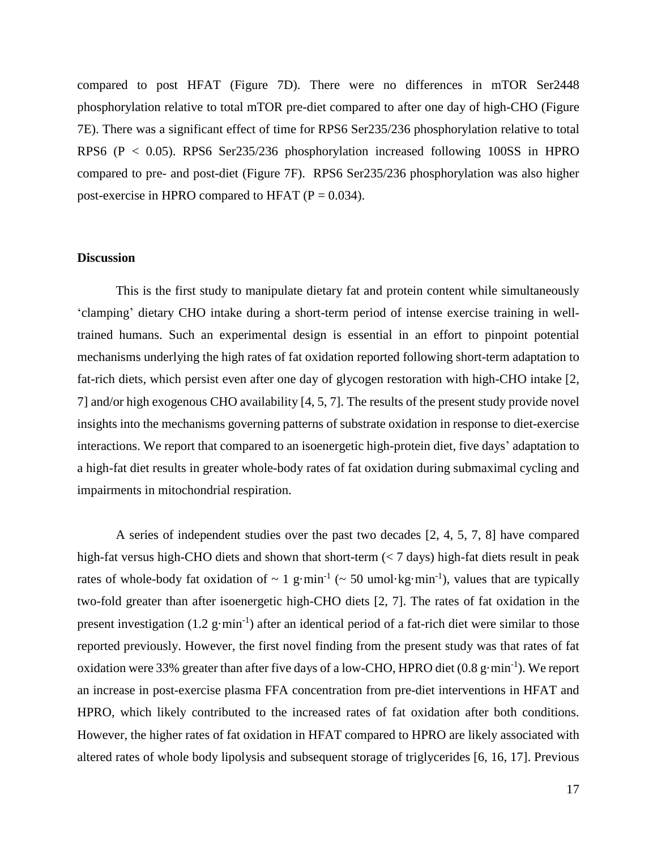compared to post HFAT (Figure 7D). There were no differences in mTOR Ser2448 phosphorylation relative to total mTOR pre-diet compared to after one day of high-CHO (Figure 7E). There was a significant effect of time for RPS6 Ser235/236 phosphorylation relative to total RPS6 (P < 0.05). RPS6 Ser235/236 phosphorylation increased following 100SS in HPRO compared to pre- and post-diet (Figure 7F). RPS6 Ser235/236 phosphorylation was also higher post-exercise in HPRO compared to HFAT  $(P = 0.034)$ .

# **Discussion**

This is the first study to manipulate dietary fat and protein content while simultaneously 'clamping' dietary CHO intake during a short-term period of intense exercise training in welltrained humans. Such an experimental design is essential in an effort to pinpoint potential mechanisms underlying the high rates of fat oxidation reported following short-term adaptation to fat-rich diets, which persist even after one day of glycogen restoration with high-CHO intake [2, 7] and/or high exogenous CHO availability [4, 5, 7]. The results of the present study provide novel insights into the mechanisms governing patterns of substrate oxidation in response to diet-exercise interactions. We report that compared to an isoenergetic high-protein diet, five days' adaptation to a high-fat diet results in greater whole-body rates of fat oxidation during submaximal cycling and impairments in mitochondrial respiration.

A series of independent studies over the past two decades [2, 4, 5, 7, 8] have compared high-fat versus high-CHO diets and shown that short-term (< 7 days) high-fat diets result in peak rates of whole-body fat oxidation of  $\sim 1$  g·min<sup>-1</sup> ( $\sim 50$  umol·kg·min<sup>-1</sup>), values that are typically two-fold greater than after isoenergetic high-CHO diets [2, 7]. The rates of fat oxidation in the present investigation (1.2 g·min<sup>-1</sup>) after an identical period of a fat-rich diet were similar to those reported previously. However, the first novel finding from the present study was that rates of fat oxidation were 33% greater than after five days of a low-CHO, HPRO diet  $(0.8 \text{ g} \cdot \text{min}^{-1})$ . We report an increase in post-exercise plasma FFA concentration from pre-diet interventions in HFAT and HPRO, which likely contributed to the increased rates of fat oxidation after both conditions. However, the higher rates of fat oxidation in HFAT compared to HPRO are likely associated with altered rates of whole body lipolysis and subsequent storage of triglycerides [6, 16, 17]. Previous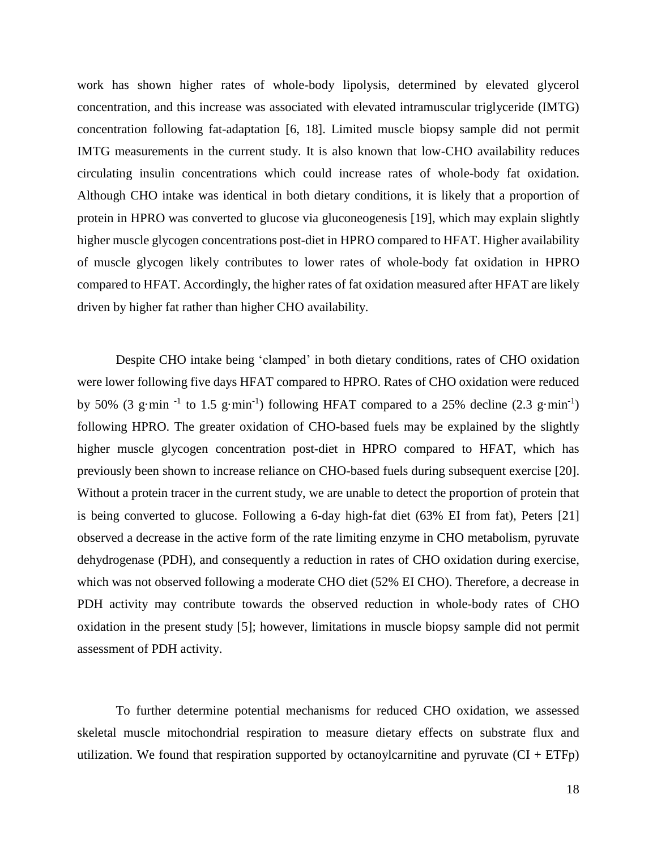work has shown higher rates of whole-body lipolysis, determined by elevated glycerol concentration, and this increase was associated with elevated intramuscular triglyceride (IMTG) concentration following fat-adaptation [6, 18]. Limited muscle biopsy sample did not permit IMTG measurements in the current study. It is also known that low-CHO availability reduces circulating insulin concentrations which could increase rates of whole-body fat oxidation. Although CHO intake was identical in both dietary conditions, it is likely that a proportion of protein in HPRO was converted to glucose via gluconeogenesis [19], which may explain slightly higher muscle glycogen concentrations post-diet in HPRO compared to HFAT. Higher availability of muscle glycogen likely contributes to lower rates of whole-body fat oxidation in HPRO compared to HFAT. Accordingly, the higher rates of fat oxidation measured after HFAT are likely driven by higher fat rather than higher CHO availability.

Despite CHO intake being 'clamped' in both dietary conditions, rates of CHO oxidation were lower following five days HFAT compared to HPRO. Rates of CHO oxidation were reduced by 50% (3 g·min<sup>-1</sup> to 1.5 g·min<sup>-1</sup>) following HFAT compared to a 25% decline (2.3 g·min<sup>-1</sup>) following HPRO. The greater oxidation of CHO-based fuels may be explained by the slightly higher muscle glycogen concentration post-diet in HPRO compared to HFAT, which has previously been shown to increase reliance on CHO-based fuels during subsequent exercise [20]. Without a protein tracer in the current study, we are unable to detect the proportion of protein that is being converted to glucose. Following a 6-day high-fat diet (63% EI from fat), Peters [21] observed a decrease in the active form of the rate limiting enzyme in CHO metabolism, pyruvate dehydrogenase (PDH), and consequently a reduction in rates of CHO oxidation during exercise, which was not observed following a moderate CHO diet (52% EI CHO). Therefore, a decrease in PDH activity may contribute towards the observed reduction in whole-body rates of CHO oxidation in the present study [5]; however, limitations in muscle biopsy sample did not permit assessment of PDH activity.

To further determine potential mechanisms for reduced CHO oxidation, we assessed skeletal muscle mitochondrial respiration to measure dietary effects on substrate flux and utilization. We found that respiration supported by octanoylcarnitine and pyruvate  $(CI + ETFp)$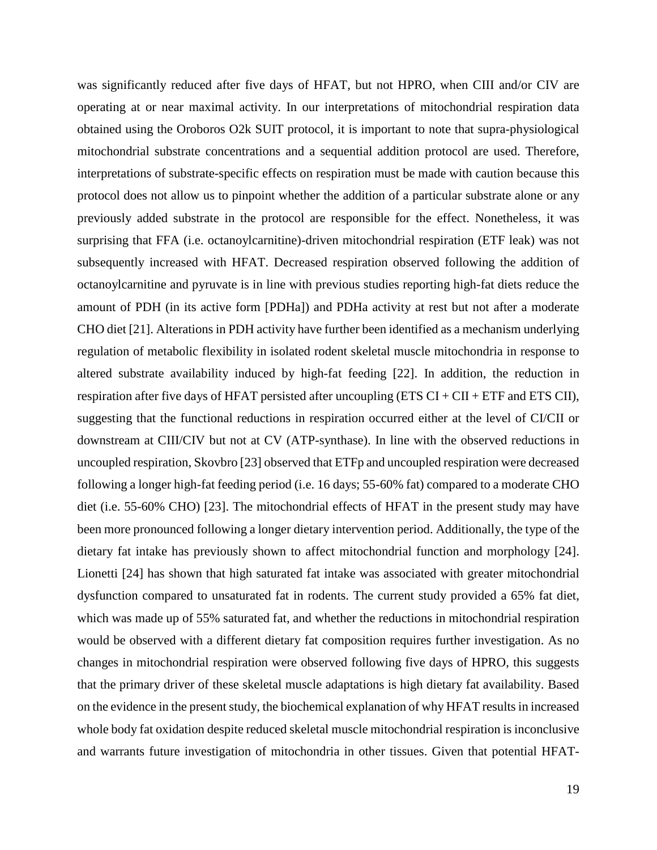was significantly reduced after five days of HFAT, but not HPRO, when CIII and/or CIV are operating at or near maximal activity. In our interpretations of mitochondrial respiration data obtained using the Oroboros O2k SUIT protocol, it is important to note that supra-physiological mitochondrial substrate concentrations and a sequential addition protocol are used. Therefore, interpretations of substrate-specific effects on respiration must be made with caution because this protocol does not allow us to pinpoint whether the addition of a particular substrate alone or any previously added substrate in the protocol are responsible for the effect. Nonetheless, it was surprising that FFA (i.e. octanoylcarnitine)-driven mitochondrial respiration (ETF leak) was not subsequently increased with HFAT. Decreased respiration observed following the addition of octanoylcarnitine and pyruvate is in line with previous studies reporting high-fat diets reduce the amount of PDH (in its active form [PDHa]) and PDHa activity at rest but not after a moderate CHO diet [21]. Alterations in PDH activity have further been identified as a mechanism underlying regulation of metabolic flexibility in isolated rodent skeletal muscle mitochondria in response to altered substrate availability induced by high-fat feeding [22]. In addition, the reduction in respiration after five days of HFAT persisted after uncoupling  $(ETS CI + CI + ETF)$  and ETS CII), suggesting that the functional reductions in respiration occurred either at the level of CI/CII or downstream at CIII/CIV but not at CV (ATP-synthase). In line with the observed reductions in uncoupled respiration, Skovbro [23] observed that ETFp and uncoupled respiration were decreased following a longer high-fat feeding period (i.e. 16 days; 55-60% fat) compared to a moderate CHO diet (i.e. 55-60% CHO) [23]. The mitochondrial effects of HFAT in the present study may have been more pronounced following a longer dietary intervention period. Additionally, the type of the dietary fat intake has previously shown to affect mitochondrial function and morphology [24]. Lionetti [24] has shown that high saturated fat intake was associated with greater mitochondrial dysfunction compared to unsaturated fat in rodents. The current study provided a 65% fat diet, which was made up of 55% saturated fat, and whether the reductions in mitochondrial respiration would be observed with a different dietary fat composition requires further investigation. As no changes in mitochondrial respiration were observed following five days of HPRO, this suggests that the primary driver of these skeletal muscle adaptations is high dietary fat availability. Based on the evidence in the present study, the biochemical explanation of why HFAT results in increased whole body fat oxidation despite reduced skeletal muscle mitochondrial respiration is inconclusive and warrants future investigation of mitochondria in other tissues. Given that potential HFAT-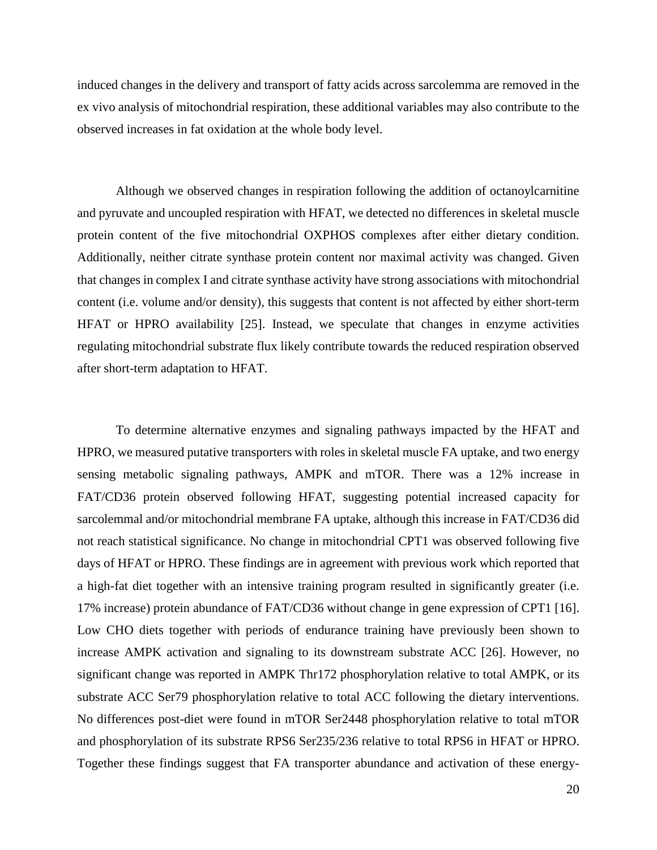induced changes in the delivery and transport of fatty acids across sarcolemma are removed in the ex vivo analysis of mitochondrial respiration, these additional variables may also contribute to the observed increases in fat oxidation at the whole body level.

Although we observed changes in respiration following the addition of octanoylcarnitine and pyruvate and uncoupled respiration with HFAT, we detected no differences in skeletal muscle protein content of the five mitochondrial OXPHOS complexes after either dietary condition. Additionally, neither citrate synthase protein content nor maximal activity was changed. Given that changes in complex I and citrate synthase activity have strong associations with mitochondrial content (i.e. volume and/or density), this suggests that content is not affected by either short-term HFAT or HPRO availability [25]. Instead, we speculate that changes in enzyme activities regulating mitochondrial substrate flux likely contribute towards the reduced respiration observed after short-term adaptation to HFAT.

To determine alternative enzymes and signaling pathways impacted by the HFAT and HPRO, we measured putative transporters with roles in skeletal muscle FA uptake, and two energy sensing metabolic signaling pathways, AMPK and mTOR. There was a 12% increase in FAT/CD36 protein observed following HFAT, suggesting potential increased capacity for sarcolemmal and/or mitochondrial membrane FA uptake, although this increase in FAT/CD36 did not reach statistical significance. No change in mitochondrial CPT1 was observed following five days of HFAT or HPRO. These findings are in agreement with previous work which reported that a high-fat diet together with an intensive training program resulted in significantly greater (i.e. 17% increase) protein abundance of FAT/CD36 without change in gene expression of CPT1 [16]. Low CHO diets together with periods of endurance training have previously been shown to increase AMPK activation and signaling to its downstream substrate ACC [26]. However, no significant change was reported in AMPK Thr172 phosphorylation relative to total AMPK, or its substrate ACC Ser79 phosphorylation relative to total ACC following the dietary interventions. No differences post-diet were found in mTOR Ser2448 phosphorylation relative to total mTOR and phosphorylation of its substrate RPS6 Ser235/236 relative to total RPS6 in HFAT or HPRO. Together these findings suggest that FA transporter abundance and activation of these energy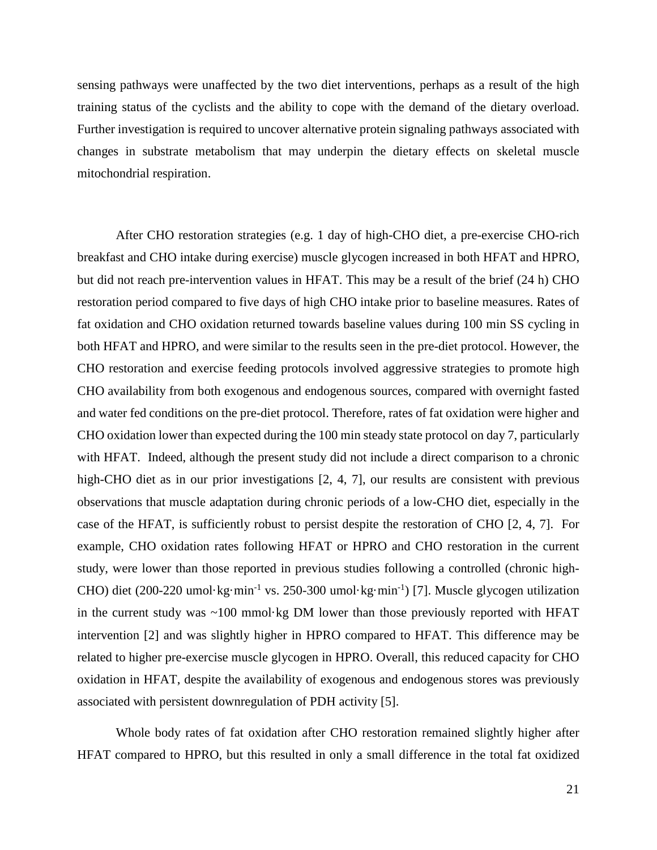sensing pathways were unaffected by the two diet interventions, perhaps as a result of the high training status of the cyclists and the ability to cope with the demand of the dietary overload. Further investigation is required to uncover alternative protein signaling pathways associated with changes in substrate metabolism that may underpin the dietary effects on skeletal muscle mitochondrial respiration.

After CHO restoration strategies (e.g. 1 day of high-CHO diet, a pre-exercise CHO-rich breakfast and CHO intake during exercise) muscle glycogen increased in both HFAT and HPRO, but did not reach pre-intervention values in HFAT. This may be a result of the brief (24 h) CHO restoration period compared to five days of high CHO intake prior to baseline measures. Rates of fat oxidation and CHO oxidation returned towards baseline values during 100 min SS cycling in both HFAT and HPRO, and were similar to the results seen in the pre-diet protocol. However, the CHO restoration and exercise feeding protocols involved aggressive strategies to promote high CHO availability from both exogenous and endogenous sources, compared with overnight fasted and water fed conditions on the pre-diet protocol. Therefore, rates of fat oxidation were higher and CHO oxidation lower than expected during the 100 min steady state protocol on day 7, particularly with HFAT. Indeed, although the present study did not include a direct comparison to a chronic high-CHO diet as in our prior investigations [2, 4, 7], our results are consistent with previous observations that muscle adaptation during chronic periods of a low-CHO diet, especially in the case of the HFAT, is sufficiently robust to persist despite the restoration of CHO [2, 4, 7]. For example, CHO oxidation rates following HFAT or HPRO and CHO restoration in the current study, were lower than those reported in previous studies following a controlled (chronic high-CHO) diet (200-220 umol·kg·min<sup>-1</sup> vs. 250-300 umol·kg·min<sup>-1</sup>) [7]. Muscle glycogen utilization in the current study was  $~100$  mmol $~kg$  DM lower than those previously reported with HFAT intervention [2] and was slightly higher in HPRO compared to HFAT. This difference may be related to higher pre-exercise muscle glycogen in HPRO. Overall, this reduced capacity for CHO oxidation in HFAT, despite the availability of exogenous and endogenous stores was previously associated with persistent downregulation of PDH activity [5].

Whole body rates of fat oxidation after CHO restoration remained slightly higher after HFAT compared to HPRO, but this resulted in only a small difference in the total fat oxidized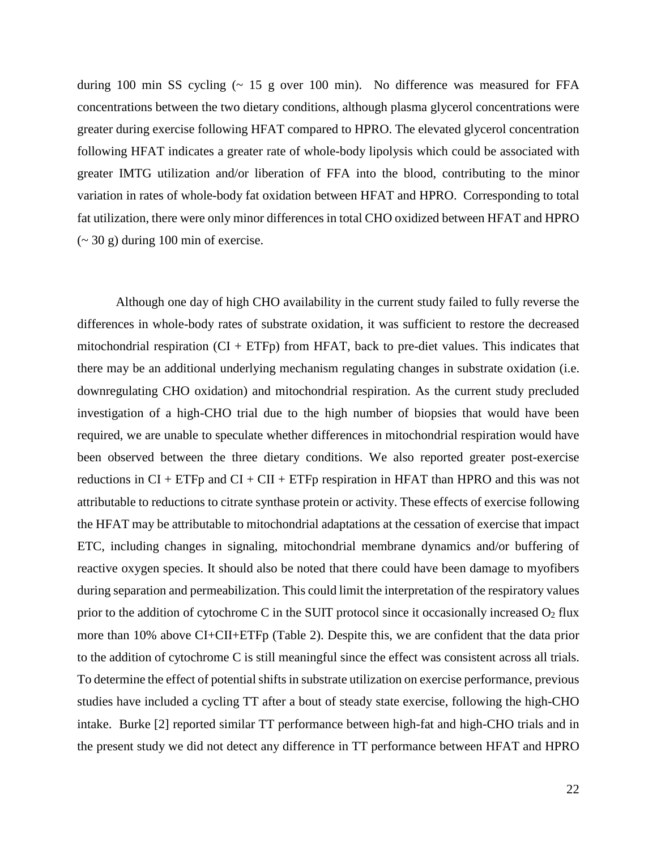during 100 min SS cycling (~ 15 g over 100 min). No difference was measured for FFA concentrations between the two dietary conditions, although plasma glycerol concentrations were greater during exercise following HFAT compared to HPRO. The elevated glycerol concentration following HFAT indicates a greater rate of whole-body lipolysis which could be associated with greater IMTG utilization and/or liberation of FFA into the blood, contributing to the minor variation in rates of whole-body fat oxidation between HFAT and HPRO. Corresponding to total fat utilization, there were only minor differences in total CHO oxidized between HFAT and HPRO  $\sim$  30 g) during 100 min of exercise.

Although one day of high CHO availability in the current study failed to fully reverse the differences in whole-body rates of substrate oxidation, it was sufficient to restore the decreased mitochondrial respiration  $(CI + ETFp)$  from HFAT, back to pre-diet values. This indicates that there may be an additional underlying mechanism regulating changes in substrate oxidation (i.e. downregulating CHO oxidation) and mitochondrial respiration. As the current study precluded investigation of a high-CHO trial due to the high number of biopsies that would have been required, we are unable to speculate whether differences in mitochondrial respiration would have been observed between the three dietary conditions. We also reported greater post-exercise reductions in  $CI + ETFp$  and  $CI + CI + ETFp$  respiration in HFAT than HPRO and this was not attributable to reductions to citrate synthase protein or activity. These effects of exercise following the HFAT may be attributable to mitochondrial adaptations at the cessation of exercise that impact ETC, including changes in signaling, mitochondrial membrane dynamics and/or buffering of reactive oxygen species. It should also be noted that there could have been damage to myofibers during separation and permeabilization. This could limit the interpretation of the respiratory values prior to the addition of cytochrome C in the SUIT protocol since it occasionally increased  $O_2$  flux more than 10% above CI+CII+ETFp (Table 2). Despite this, we are confident that the data prior to the addition of cytochrome C is still meaningful since the effect was consistent across all trials. To determine the effect of potential shifts in substrate utilization on exercise performance, previous studies have included a cycling TT after a bout of steady state exercise, following the high-CHO intake. Burke [2] reported similar TT performance between high-fat and high-CHO trials and in the present study we did not detect any difference in TT performance between HFAT and HPRO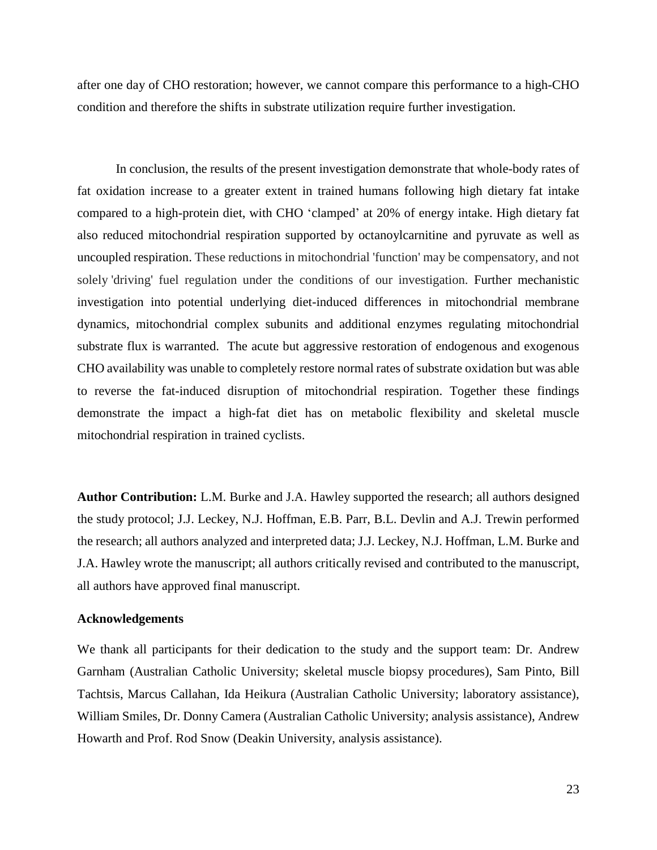after one day of CHO restoration; however, we cannot compare this performance to a high-CHO condition and therefore the shifts in substrate utilization require further investigation.

In conclusion, the results of the present investigation demonstrate that whole-body rates of fat oxidation increase to a greater extent in trained humans following high dietary fat intake compared to a high-protein diet, with CHO 'clamped' at 20% of energy intake. High dietary fat also reduced mitochondrial respiration supported by octanoylcarnitine and pyruvate as well as uncoupled respiration. These reductions in mitochondrial 'function' may be compensatory, and not solely 'driving' fuel regulation under the conditions of our investigation. Further mechanistic investigation into potential underlying diet-induced differences in mitochondrial membrane dynamics, mitochondrial complex subunits and additional enzymes regulating mitochondrial substrate flux is warranted. The acute but aggressive restoration of endogenous and exogenous CHO availability was unable to completely restore normal rates of substrate oxidation but was able to reverse the fat-induced disruption of mitochondrial respiration. Together these findings demonstrate the impact a high-fat diet has on metabolic flexibility and skeletal muscle mitochondrial respiration in trained cyclists.

**Author Contribution:** L.M. Burke and J.A. Hawley supported the research; all authors designed the study protocol; J.J. Leckey, N.J. Hoffman, E.B. Parr, B.L. Devlin and A.J. Trewin performed the research; all authors analyzed and interpreted data; J.J. Leckey, N.J. Hoffman, L.M. Burke and J.A. Hawley wrote the manuscript; all authors critically revised and contributed to the manuscript, all authors have approved final manuscript.

# **Acknowledgements**

We thank all participants for their dedication to the study and the support team: Dr. Andrew Garnham (Australian Catholic University; skeletal muscle biopsy procedures), Sam Pinto, Bill Tachtsis, Marcus Callahan, Ida Heikura (Australian Catholic University; laboratory assistance), William Smiles, Dr. Donny Camera (Australian Catholic University; analysis assistance), Andrew Howarth and Prof. Rod Snow (Deakin University, analysis assistance).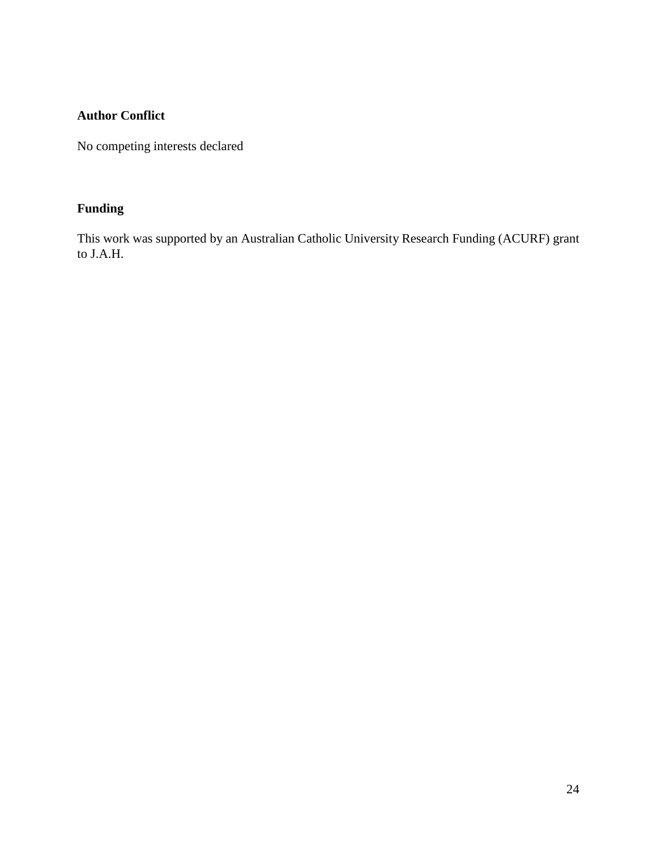# **Author Conflict**

No competing interests declared

# **Funding**

This work was supported by an Australian Catholic University Research Funding (ACURF) grant to J.A.H.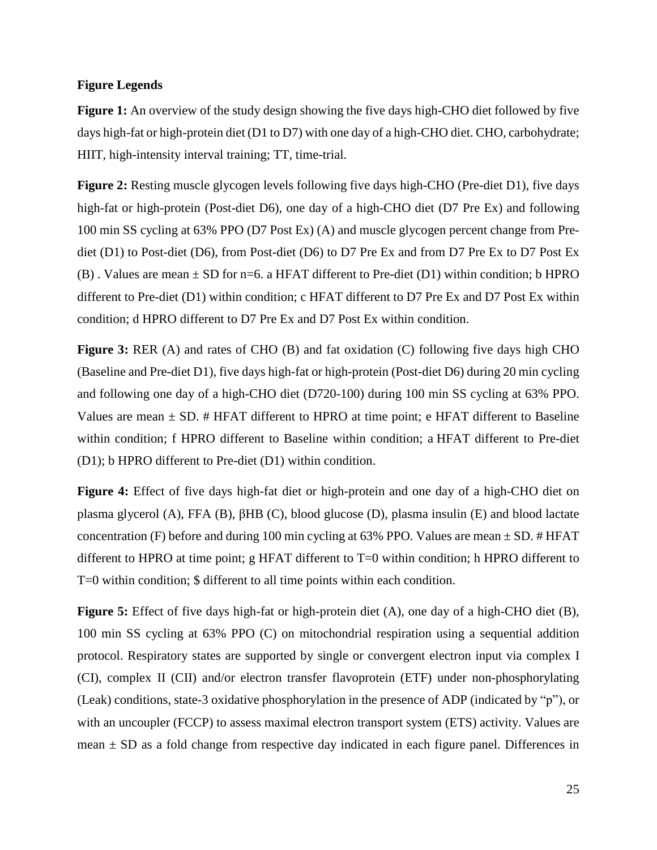# **Figure Legends**

**Figure 1:** An overview of the study design showing the five days high-CHO diet followed by five days high-fat or high-protein diet (D1 to D7) with one day of a high-CHO diet. CHO, carbohydrate; HIIT, high-intensity interval training; TT, time-trial.

**Figure 2:** Resting muscle glycogen levels following five days high-CHO (Pre-diet D1), five days high-fat or high-protein (Post-diet D6), one day of a high-CHO diet (D7 Pre Ex) and following 100 min SS cycling at 63% PPO (D7 Post Ex) (A) and muscle glycogen percent change from Prediet (D1) to Post-diet (D6), from Post-diet (D6) to D7 Pre Ex and from D7 Pre Ex to D7 Post Ex (B). Values are mean  $\pm$  SD for n=6. a HFAT different to Pre-diet (D1) within condition; b HPRO different to Pre-diet (D1) within condition; c HFAT different to D7 Pre Ex and D7 Post Ex within condition; d HPRO different to D7 Pre Ex and D7 Post Ex within condition.

**Figure 3:** RER (A) and rates of CHO (B) and fat oxidation (C) following five days high CHO (Baseline and Pre-diet D1), five days high-fat or high-protein (Post-diet D6) during 20 min cycling and following one day of a high-CHO diet (D720-100) during 100 min SS cycling at 63% PPO. Values are mean  $\pm$  SD. # HFAT different to HPRO at time point; e HFAT different to Baseline within condition; f HPRO different to Baseline within condition; a HFAT different to Pre-diet (D1); b HPRO different to Pre-diet (D1) within condition.

**Figure 4:** Effect of five days high-fat diet or high-protein and one day of a high-CHO diet on plasma glycerol (A), FFA (B), βHB (C), blood glucose (D), plasma insulin (E) and blood lactate concentration (F) before and during 100 min cycling at 63% PPO. Values are mean  $\pm$  SD. # HFAT different to HPRO at time point; g HFAT different to T=0 within condition; h HPRO different to T=0 within condition; \$ different to all time points within each condition.

**Figure 5:** Effect of five days high-fat or high-protein diet (A), one day of a high-CHO diet (B), 100 min SS cycling at 63% PPO (C) on mitochondrial respiration using a sequential addition protocol. Respiratory states are supported by single or convergent electron input via complex I (CI), complex II (CII) and/or electron transfer flavoprotein (ETF) under non-phosphorylating (Leak) conditions, state-3 oxidative phosphorylation in the presence of ADP (indicated by "p"), or with an uncoupler (FCCP) to assess maximal electron transport system (ETS) activity. Values are mean  $\pm$  SD as a fold change from respective day indicated in each figure panel. Differences in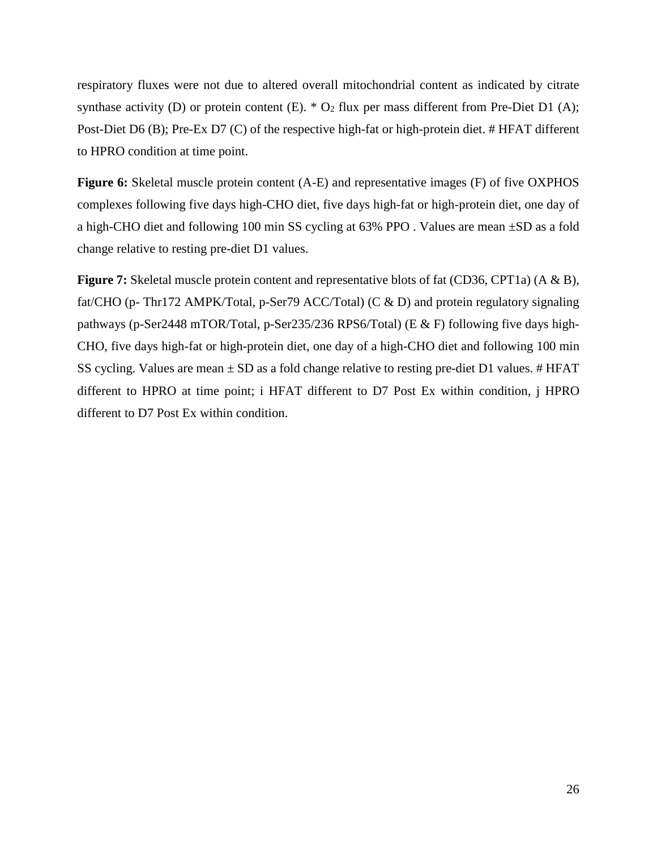respiratory fluxes were not due to altered overall mitochondrial content as indicated by citrate synthase activity (D) or protein content (E).  $* O_2$  flux per mass different from Pre-Diet D1 (A); Post-Diet D6 (B); Pre-Ex D7 (C) of the respective high-fat or high-protein diet. # HFAT different to HPRO condition at time point.

**Figure 6:** Skeletal muscle protein content (A-E) and representative images (F) of five OXPHOS complexes following five days high-CHO diet, five days high-fat or high-protein diet, one day of a high-CHO diet and following 100 min SS cycling at 63% PPO. Values are mean  $\pm$ SD as a fold change relative to resting pre-diet D1 values.

**Figure 7:** Skeletal muscle protein content and representative blots of fat (CD36, CPT1a) (A & B), fat/CHO (p- Thr172 AMPK/Total, p-Ser79 ACC/Total) (C & D) and protein regulatory signaling pathways (p-Ser2448 mTOR/Total, p-Ser235/236 RPS6/Total) (E & F) following five days high-CHO, five days high-fat or high-protein diet, one day of a high-CHO diet and following 100 min SS cycling. Values are mean  $\pm$  SD as a fold change relative to resting pre-diet D1 values. # HFAT different to HPRO at time point; i HFAT different to D7 Post Ex within condition, j HPRO different to D7 Post Ex within condition.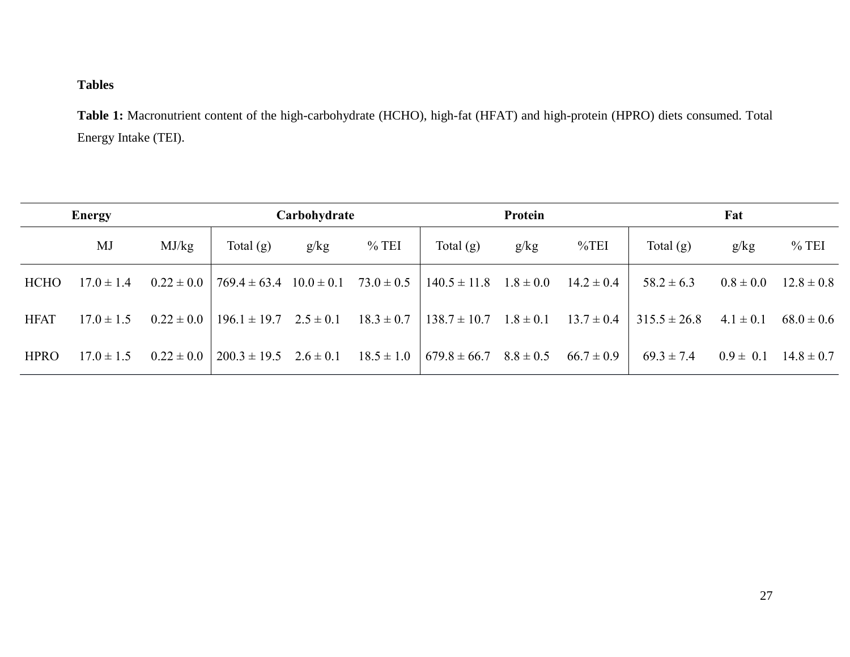# **Tables**

**Table 1:** Macronutrient content of the high-carbohydrate (HCHO), high-fat (HFAT) and high-protein (HPRO) diets consumed. Total Energy Intake (TEI).

| <b>Energy</b> |                | Carbohydrate   |                                 |      | Protein        |                  |               | Fat            |                  |               |                |
|---------------|----------------|----------------|---------------------------------|------|----------------|------------------|---------------|----------------|------------------|---------------|----------------|
|               | MJ             | MJ/kg          | Total $(g)$                     | g/kg | $%$ TEI        | Total $(g)$      | g/kg          | $\%$ TEI       | Total $(g)$      | g/kg          | $%$ TEI        |
| <b>HCHO</b>   | $17.0 \pm 1.4$ | $0.22 \pm 0.0$ | $769.4 \pm 63.4$ $10.0 \pm 0.1$ |      | $73.0 \pm 0.5$ | $140.5 \pm 11.8$ | $1.8 \pm 0.0$ | $14.2 \pm 0.4$ | $58.2 \pm 6.3$   | $0.8 \pm 0.0$ | $12.8 \pm 0.8$ |
| <b>HFAT</b>   | $17.0 \pm 1.5$ | $0.22 \pm 0.0$ | $196.1 \pm 19.7$ $2.5 \pm 0.1$  |      | $18.3 \pm 0.7$ | $138.7 \pm 10.7$ | $1.8 \pm 0.1$ | $13.7 \pm 0.4$ | $315.5 \pm 26.8$ | $4.1 \pm 0.1$ | $68.0 \pm 0.6$ |
| <b>HPRO</b>   | $17.0 \pm 1.5$ | $0.22 \pm 0.0$ | $200.3 \pm 19.5$ $2.6 \pm 0.1$  |      | $18.5 \pm 1.0$ | $679.8 \pm 66.7$ | $8.8 \pm 0.5$ | $66.7 \pm 0.9$ | $69.3 \pm 7.4$   | $0.9 \pm 0.1$ | $14.8 \pm 0.7$ |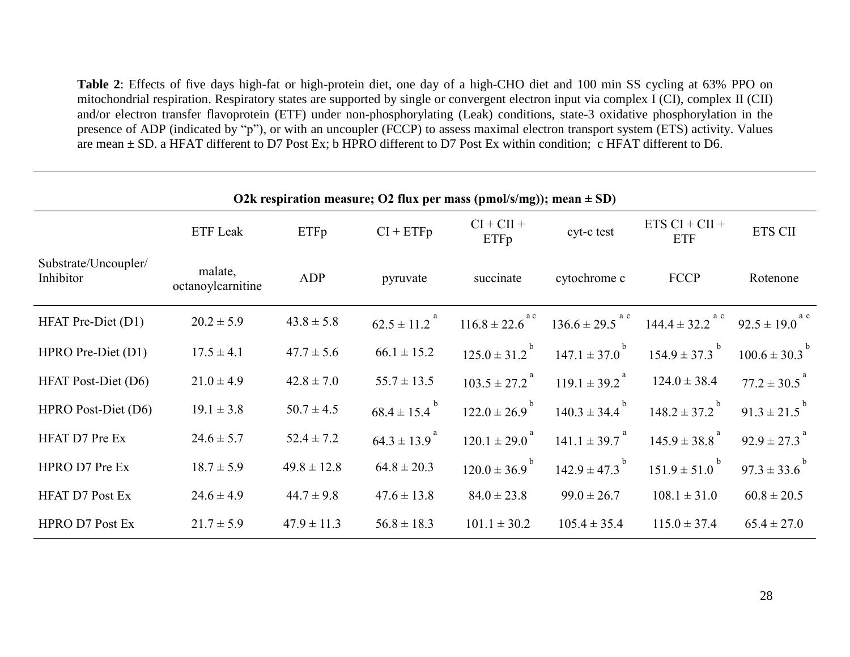**Table 2**: Effects of five days high-fat or high-protein diet, one day of a high-CHO diet and 100 min SS cycling at 63% PPO on mitochondrial respiration. Respiratory states are supported by single or convergent electron input via complex I (CI), complex II (CII) and/or electron transfer flavoprotein (ETF) under non-phosphorylating (Leak) conditions, state-3 oxidative phosphorylation in the presence of ADP (indicated by "p"), or with an uncoupler (FCCP) to assess maximal electron transport system (ETS) activity. Values are mean ± SD. a HFAT different to D7 Post Ex; b HPRO different to D7 Post Ex within condition; c HFAT different to D6.

| O2k respiration measure; O2 flux per mass (pmol/s/mg)); mean $\pm$ SD) |                              |                 |                              |                                |                                 |                                 |                                |  |  |
|------------------------------------------------------------------------|------------------------------|-----------------|------------------------------|--------------------------------|---------------------------------|---------------------------------|--------------------------------|--|--|
|                                                                        | ETF Leak                     | ETFp            | $CI + ETFp$                  | $CI + CII +$<br>ETFp           | cyt-c test                      | $ETS CI + CII +$<br><b>ETF</b>  | <b>ETS CII</b>                 |  |  |
| Substrate/Uncoupler/<br>Inhibitor                                      | malate,<br>octanoylcarnitine | ADP             | pyruvate                     | succinate                      | cytochrome c                    | <b>FCCP</b>                     | Rotenone                       |  |  |
| HFAT Pre-Diet (D1)                                                     | $20.2 \pm 5.9$               | $43.8 \pm 5.8$  | $62.5 \pm 11.2$ <sup>a</sup> | $116.8 \pm 22.6$ <sup>ac</sup> | $136.6 \pm 29.5$ <sup>a c</sup> | $144.4 \pm 32.2$ <sup>a c</sup> | $92.5 \pm 19.0$ <sup>a c</sup> |  |  |
| HPRO Pre-Diet (D1)                                                     | $17.5 \pm 4.1$               | $47.7 \pm 5.6$  | $66.1 \pm 15.2$              | $125.0 \pm 31.2$ <sup>b</sup>  | $147.1 \pm 37.0$ <sup>b</sup>   | $154.9 \pm 37.3$ <sup>b</sup>   | $100.6 \pm 30.3^{b}$           |  |  |
| <b>HFAT Post-Diet (D6)</b>                                             | $21.0 \pm 4.9$               | $42.8 \pm 7.0$  | $55.7 \pm 13.5$              | $103.5 \pm 27.2$ <sup>a</sup>  | $119.1 \pm 39.2$ <sup>a</sup>   | $124.0 \pm 38.4$                | $77.2 \pm 30.5$ <sup>a</sup>   |  |  |
| HPRO Post-Diet (D6)                                                    | $19.1 \pm 3.8$               | $50.7 \pm 4.5$  | $68.4 \pm 15.4$ <sup>b</sup> | $122.0 \pm 26.9$ <sup>b</sup>  | $140.3 \pm 34.4$ <sup>b</sup>   | $148.2 \pm 37.2$ <sup>b</sup>   | $91.3 \pm 21.5^{b}$            |  |  |
| <b>HFAT D7 Pre Ex</b>                                                  | $24.6 \pm 5.7$               | $52.4 \pm 7.2$  | $64.3 \pm 13.9$ <sup>a</sup> | $120.1 \pm 29.0$ <sup>a</sup>  | $141.1 \pm 39.7$ <sup>a</sup>   | $145.9 \pm 38.8^{a}$            | $92.9 \pm 27.3$ <sup>a</sup>   |  |  |
| HPRO D7 Pre Ex                                                         | $18.7 \pm 5.9$               | $49.8 \pm 12.8$ | $64.8 \pm 20.3$              | $120.0 \pm 36.9$ <sup>b</sup>  | $142.9 \pm 47.3$ <sup>b</sup>   | $151.9 \pm 51.0$ <sup>b</sup>   | $97.3 \pm 33.6^{b}$            |  |  |
| <b>HFAT D7 Post Ex</b>                                                 | $24.6 \pm 4.9$               | $44.7 \pm 9.8$  | $47.6 \pm 13.8$              | $84.0 \pm 23.8$                | $99.0 \pm 26.7$                 | $108.1 \pm 31.0$                | $60.8 \pm 20.5$                |  |  |
| <b>HPRO D7 Post Ex</b>                                                 | $21.7 \pm 5.9$               | $47.9 \pm 11.3$ | $56.8 \pm 18.3$              | $101.1 \pm 30.2$               | $105.4 \pm 35.4$                | $115.0 \pm 37.4$                | $65.4 \pm 27.0$                |  |  |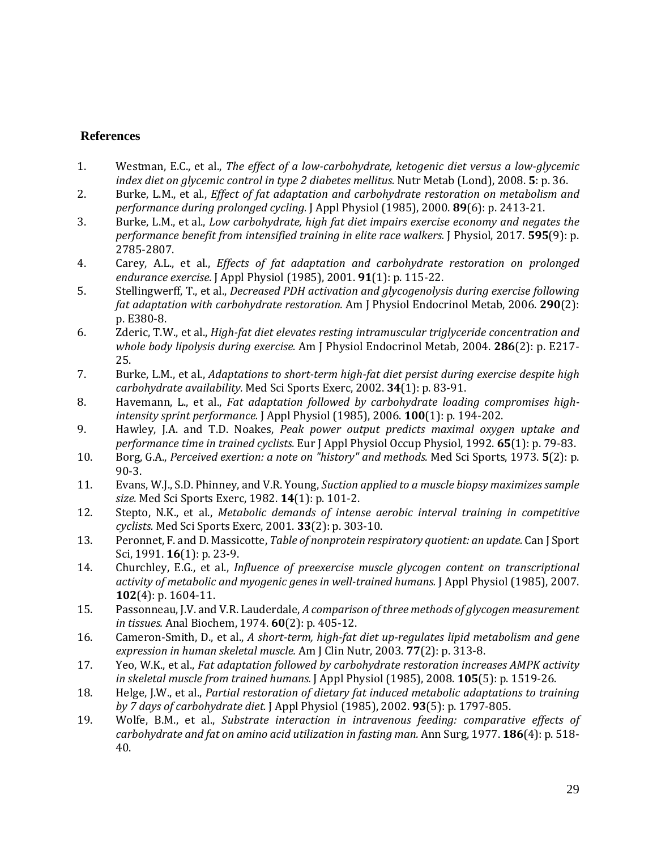# **References**

- 1. Westman, E.C., et al., *The effect of a low-carbohydrate, ketogenic diet versus a low-glycemic index diet on glycemic control in type 2 diabetes mellitus.* Nutr Metab (Lond), 2008. **5**: p. 36.
- 2. Burke, L.M., et al., *Effect of fat adaptation and carbohydrate restoration on metabolism and performance during prolonged cycling.* J Appl Physiol (1985), 2000. **89**(6): p. 2413-21.
- 3. Burke, L.M., et al., *Low carbohydrate, high fat diet impairs exercise economy and negates the performance benefit from intensified training in elite race walkers.* J Physiol, 2017. **595**(9): p. 2785-2807.
- 4. Carey, A.L., et al., *Effects of fat adaptation and carbohydrate restoration on prolonged endurance exercise.* J Appl Physiol (1985), 2001. **91**(1): p. 115-22.
- 5. Stellingwerff, T., et al., *Decreased PDH activation and glycogenolysis during exercise following fat adaptation with carbohydrate restoration.* Am J Physiol Endocrinol Metab, 2006. **290**(2): p. E380-8.
- 6. Zderic, T.W., et al., *High-fat diet elevates resting intramuscular triglyceride concentration and whole body lipolysis during exercise.* Am J Physiol Endocrinol Metab, 2004. **286**(2): p. E217- 25.
- 7. Burke, L.M., et al., *Adaptations to short-term high-fat diet persist during exercise despite high carbohydrate availability.* Med Sci Sports Exerc, 2002. **34**(1): p. 83-91.
- 8. Havemann, L., et al., *Fat adaptation followed by carbohydrate loading compromises highintensity sprint performance.* J Appl Physiol (1985), 2006. **100**(1): p. 194-202.
- 9. Hawley, J.A. and T.D. Noakes, *Peak power output predicts maximal oxygen uptake and performance time in trained cyclists.* Eur J Appl Physiol Occup Physiol, 1992. **65**(1): p. 79-83.
- 10. Borg, G.A., *Perceived exertion: a note on "history" and methods.* Med Sci Sports, 1973. **5**(2): p. 90-3.
- 11. Evans, W.J., S.D. Phinney, and V.R. Young, *Suction applied to a muscle biopsy maximizes sample size.* Med Sci Sports Exerc, 1982. **14**(1): p. 101-2.
- 12. Stepto, N.K., et al., *Metabolic demands of intense aerobic interval training in competitive cyclists.* Med Sci Sports Exerc, 2001. **33**(2): p. 303-10.
- 13. Peronnet, F. and D. Massicotte, *Table of nonprotein respiratory quotient: an update.* Can J Sport Sci, 1991. **16**(1): p. 23-9.
- 14. Churchley, E.G., et al., *Influence of preexercise muscle glycogen content on transcriptional activity of metabolic and myogenic genes in well-trained humans.* J Appl Physiol (1985), 2007. **102**(4): p. 1604-11.
- 15. Passonneau, J.V. and V.R. Lauderdale, *A comparison of three methods of glycogen measurement in tissues.* Anal Biochem, 1974. **60**(2): p. 405-12.
- 16. Cameron-Smith, D., et al., *A short-term, high-fat diet up-regulates lipid metabolism and gene expression in human skeletal muscle.* Am J Clin Nutr, 2003. **77**(2): p. 313-8.
- 17. Yeo, W.K., et al., *Fat adaptation followed by carbohydrate restoration increases AMPK activity in skeletal muscle from trained humans.* J Appl Physiol (1985), 2008. **105**(5): p. 1519-26.
- 18. Helge, J.W., et al., *Partial restoration of dietary fat induced metabolic adaptations to training by 7 days of carbohydrate diet.* J Appl Physiol (1985), 2002. **93**(5): p. 1797-805.
- 19. Wolfe, B.M., et al., *Substrate interaction in intravenous feeding: comparative effects of carbohydrate and fat on amino acid utilization in fasting man.* Ann Surg, 1977. **186**(4): p. 518- 40.